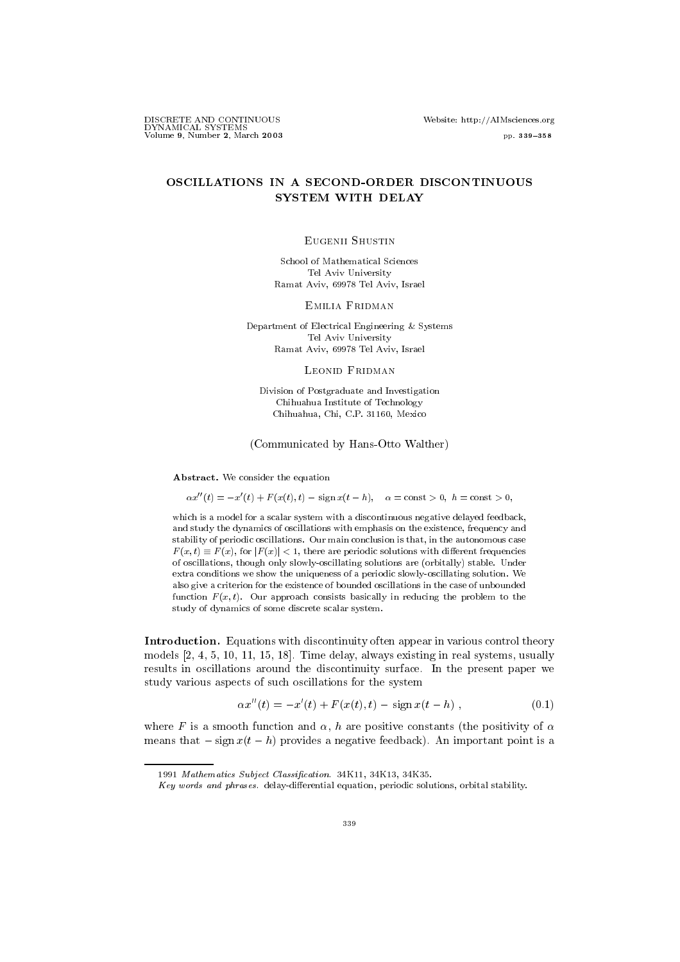DISCRETE AND CONTINUOUS Website: http://AIMsciences.org  $\begin{array}{l} \hbox{Volume 9, Number 2, March 2003} \end{array}$ 

# OSCILLATIONS IN A SECOND-ORDER DISCONTINUOUS SYSTEM WITH DELAY

#### Eugenii Shustin

School of Mathematical Sciences Tel Aviv University Ramat Aviv, 69978 Tel Aviv, Israel

Emilia Fridman

Department of Electrical Engineering & Systems Tel Aviv University Ramat Aviv, 69978 Tel Aviv, Israel

### Leonid Fridman

Division of Postgraduate and Investigation Chihuahua Institute of Technology Chihuahua, Chi, C.P. 31160, Mexico

## (Communicated by Hans-Otto Walther)

Abstract. We consider the equation

 $\alpha x''(t) = -x'(t) + F(x(t), t) - \text{sign } x(t - h), \quad \alpha = \text{const} > 0, \ h = \text{const} > 0,$ 

which is a model for a scalar system with a discontinuous negative delayed feedback, and study the dynamics of oscillations with emphasis on the existence, frequency and stability of periodic oscillations. Our main conclusion is that, in the autonomous case  $F(x,t) \equiv F(x)$ , for  $|F(x)| < 1$ , there are periodic solutions with different frequencies of oscillations, though only slowly-oscillating solutions are (orbitally) stable. Under extra conditions we show the uniqueness of a periodic slowly-oscillating solution. We also give a criterion for the existence of bounded oscillations in the case of unbounded function  $F(x, t)$ . Our approach consists basically in reducing the problem to the study of dynamics of some discrete scalar system.

Introduction. Equations with discontinuity often appear in various control theory models [2, 4, 5, 10, 11, 15, 18]. Time delay, always existing in real systems, usually results in oscillations around the discontinuity surface. In the present paper we study various aspects of such oscillations for the system

$$
\alpha x''(t) = -x'(t) + F(x(t), t) - \text{sign}\,x(t - h) , \qquad (0.1)
$$

where F is a smooth function and  $\alpha$ , h are positive constants (the positivity of  $\alpha$ means that  $-\operatorname{sign} x(t-h)$  provides a negative feedback). An important point is a

<sup>1991</sup> Mathematics Subject Classication. 34K11, 34K13, 34K35.

 $Key words and phrases.$  delay-differential equation, periodic solutions, orbital stability.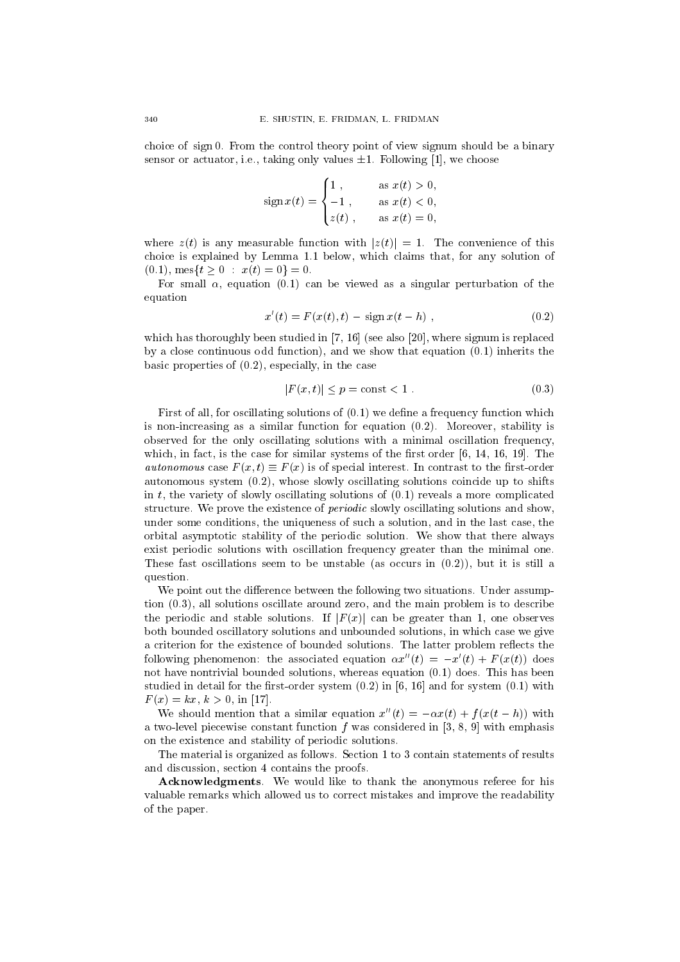choice of sign 0. From the control theory point of view signum should be a binary sensor or actuator, i.e., taking only values  $\pm 1$ . Following [1], we choose

sign 
$$
x(t) = \begin{cases} 1, & \text{as } x(t) > 0, \\ -1, & \text{as } x(t) < 0, \\ z(t), & \text{as } x(t) = 0, \end{cases}
$$

where  $z(t)$  is any measurable function with  $|z(t)| = 1$ . The convenience of this choice is explained by Lemma 1.1 below, which claims that, for any solution of  $(0.1)$ , mes $\{t > 0 : x(t) = 0\} = 0$ .

For small  $\alpha$ , equation (0.1) can be viewed as a singular perturbation of the equation

$$
x'(t) = F(x(t), t) - \text{sign}\,x(t - h), \qquad (0.2)
$$

which has thoroughly been studied in  $[7, 16]$  (see also [20], where signum is replaced by a close continuous odd function), and we show that equation (0.1) inherits the basic properties of (0.2), especially, in the case is equally, in the case<br> $|F(x,t)| \le p = \text{const} < 1$ . (0.3)

$$
|F(x,t)| \le p = \text{const} < 1. \tag{0.3}
$$

First of all, for oscillating solutions of  $(0.1)$  we define a frequency function which is non-increasing as a similar function for equation  $(0, 2)$ . Moreover, stability is observed for the only oscillating solutions with a minimal oscillation frequency, which, in fact, is the case for similar systems of the first order  $[6, 14, 16, 19]$ . The *autonomous* case  $F(x, t) = F(x)$  is of special interest. In contrast to the first-order autonomous system (0.2), whose slowly oscillating solutions coincide up to shifts in  $t$ , the variety of slowly oscillating solutions of  $(0.1)$  reveals a more complicated structure. We prove the existence of periodic slowly oscillating solutions and show, under some conditions, the uniqueness of such a solution, and in the last case, the orbital asymptotic stability of the periodic solution. We show that there always exist periodic solutions with oscillation frequency greater than the minimal one. These fast oscillations seem to be unstable (as occurs in  $(0.2)$ ), but it is still a question.

We point out the difference between the following two situations. Under assumption (0.3), all solutions oscillate around zero, and the main problem is to describe the periodic and stable solutions. If  $|F(x)|$  can be greater than 1, one observes both bounded oscillatory solutions and unbounded solutions, in which case we give a criterion for the existence of bounded solutions. The latter problem reflects the following phenomenon: the associated equation  $\alpha x''(t) = -x'(t) + F(x(t))$  does not have nontrivial bounded solutions, whereas equation (0.1) does. This has been studied in detail for the first-order system  $(0.2)$  in [6, 16] and for system  $(0.1)$  with  $F(x) = kx, k > 0$ , in [17].

We should mention that a similar equation  $x''(t) = -\alpha x(t) + f (x(t - h))$  with a two-level piecewise constant function  $f$  was considered in [3, 8, 9] with emphasis on the existence and stability of periodic solutions.

The material is organized as follows. Section 1 to 3 contain statements of results and discussion, section 4 contains the proofs.

Acknowledgments. We would like to thank the anonymous referee for his valuable remarks which allowed us to correct mistakes and improve the readability of the paper.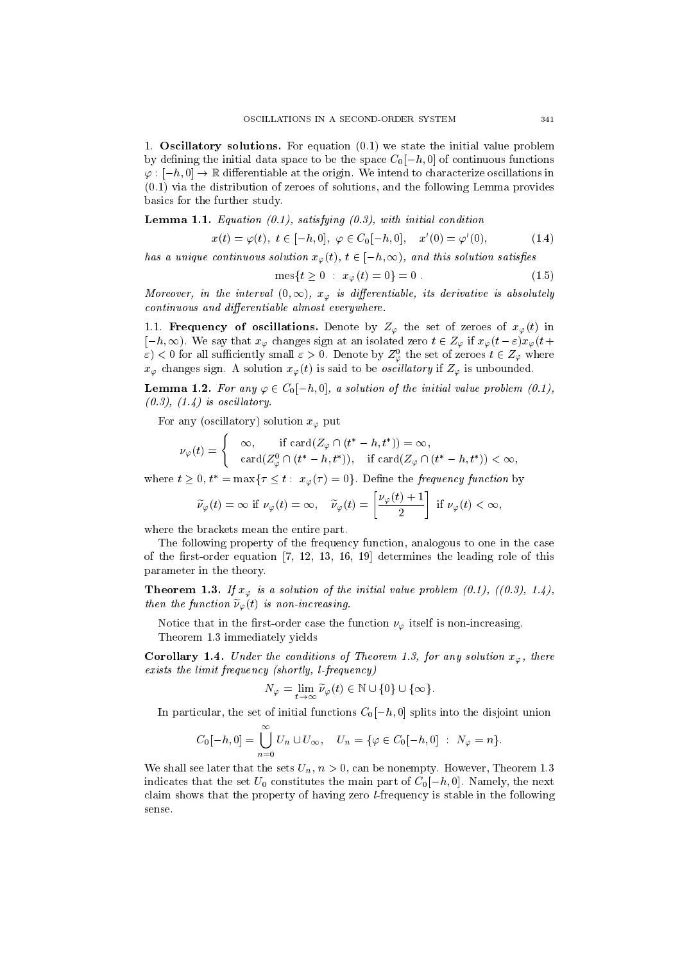1. Oscillatory solutions. For equation (0.1) we state the initial value problem by defining the initial data space to be the space  $C_0[-h, 0]$  of continuous functions  $\varphi : [-h,0] \to \mathbb{R}$  differentiable at the origin. We intend to characterize oscillations in (0.1) via the distribution of zeroes of solutions, and the following Lemma provides basics for the further study.

**Lemma 1.1.** Equation  $(0.1)$ , satisfying  $(0.3)$ , with initial condition

$$
x(t) = \varphi(t), \ t \in [-h, 0], \ \varphi \in C_0[-h, 0], \quad x'(0) = \varphi'(0), \tag{1.4}
$$

has a unique continuous solution  $x_{\varphi}(t), t \in [-n,\infty),$  and this solution satisfies

$$
\text{mes}\{t \ge 0 : x_{\varphi}(t) = 0\} = 0. \tag{1.5}
$$

Moreover, in the interval  $(0, \infty)$ ,  $x_{\varphi}$  is afferentiable, its derivative is absolutely continuous and differentiable almost everywhere.

1.1. **Frequency of oscillations.** Denote by  $Z_{\varphi}$  the set of zeroes of  $x_{\varphi}(t)$  in  $[-h, \infty)$ . We say that  $x_{\varphi}$  changes sign at an isolated zero  $t \in Z_{\varphi}$  if  $x_{\varphi}(t - \varepsilon)x_{\varphi}(t + \varepsilon)$  $\varepsilon$ )  $<$  0 for all sumclently small  $\varepsilon > 0$ . Denote by  $Z_{\varphi}$  the set of zeroes  $t \in Z_{\varphi}$  where  $x_{\varphi}$  changes sign. A solution  $x_{\varphi}(t)$  is said to be *oscillatory* if  $Z_{\varphi}$  is unbounded.

**Lemma 1.2.** For any  $\varphi \in C_0[-h, 0]$ , a solution of the initial value problem (0.1),  $(0.3), (1.4)$  is oscillatory.

For any (oscillatory) solution  $x_{\varphi}$  put

$$
\nu_{\varphi}(t) = \begin{cases}\n\infty, & \text{if } \operatorname{card}(Z_{\varphi} \cap (t^* - h, t^*)) = \infty, \\
\operatorname{card}(Z_{\varphi}^0 \cap (t^* - h, t^*)), & \text{if } \operatorname{card}(Z_{\varphi} \cap (t^* - h, t^*)) < \infty,\n\end{cases}
$$

where  $t \geq 0$ ,  $t^* = \max\{\tau \leq t : x_{\varphi}(\tau) = 0\}$ . Define the *frequency function* by

$$
\widetilde{\nu}_{\varphi}(t) = \infty \text{ if } \nu_{\varphi}(t) = \infty, \quad \widetilde{\nu}_{\varphi}(t) = \left[\frac{\nu_{\varphi}(t) + 1}{2}\right] \text{ if } \nu_{\varphi}(t) < \infty,
$$

where the brackets mean the entire part.

The following property of the frequency function, analogous to one in the case of the first-order equation  $[7, 12, 13, 16, 19]$  determines the leading role of this parameter in the theory.

**Theorem 1.3.** If  $x_{\varphi}$  is a solution of the initial value problem (0.1), ((0.3), 1.4), then the function  $\nu_{\varphi}(t)$  is non-increasing.

Notice that in the first-order case the function  $\nu_{\varphi}$  itself is non-increasing. Theorem 1.3 immediately yields

**Corollary 1.4.** Under the conditions of Theorem 1.3, for any solution  $x_{\varphi}$ , there exists the limit frequency (shortly, l-frequency)<br> $N_{\varphi} = \lim_{\varphi} \widetilde{\nu}_{\varphi}(t) \in \mathbb{N} \cup \{0\} \cup \{\infty\}.$ exists the limit frequency (shortly, l-frequency)

$$
N_{\varphi} = \lim_{t \to \infty} \widetilde{\nu}_{\varphi}(t) \in \mathbb{N} \cup \{0\} \cup \{\infty\}.
$$

In particular, the set of initial functions  $C_0[-h, 0]$  splits into the disjoint union

$$
C_0[-h,0] = \bigcup_{n=0}^{\infty} U_n \cup U_{\infty}, \quad U_n = \{ \varphi \in C_0[-h,0] \ : \ N_{\varphi} = n \}.
$$

We shall see later that the sets  $U_n$ ,  $n > 0$ , can be nonempty. However, Theorem 1.3 indicates that the set  $U_0$  constitutes the main part of  $C_0[-h, 0]$ . Namely, the next claim shows that the property of having zero l-frequency is stable in the following sense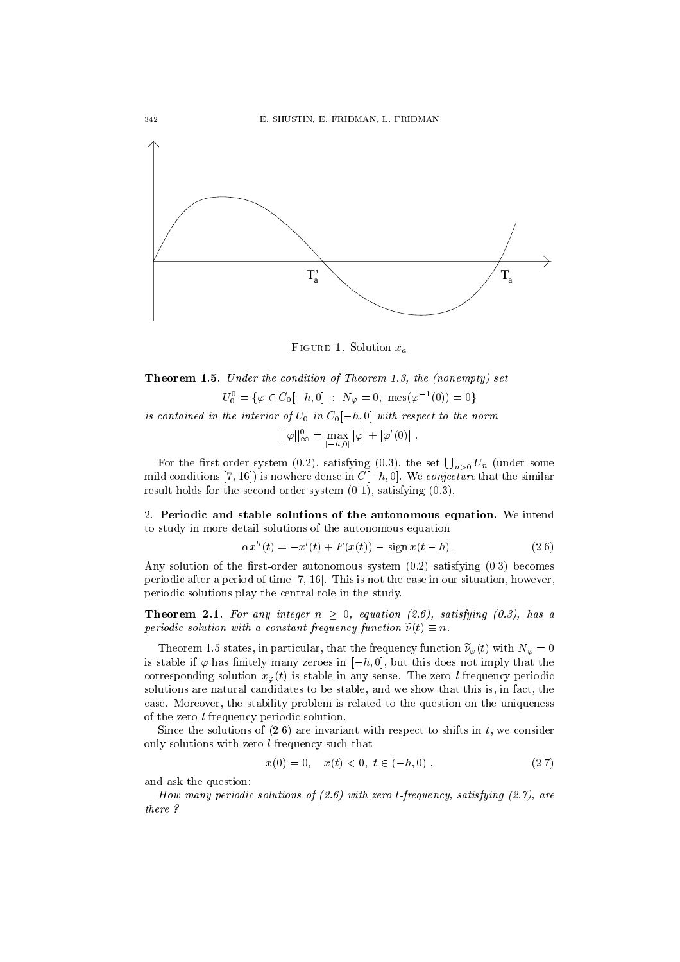

 $\mathbf{r}$  is the  $\mathbf{r}$ . Solution  $\mathbf{r}$ 

Theorem 1.5. Under the condition of Theorem 1.3, the (nonempty) set  $U_0^{\dagger} = {\varphi \in U_0[-n, 0] \; : \; N_{\varphi} = 0, \; \text{mes}(\varphi^{-1}(0)) = 0}$ 

is contained in the interior of  $U_0$  in  $U_0[-n, 0]$  with respect to the norm

$$
||\varphi||_{\infty}^{0} = \max_{[-h,0]} |\varphi| + |\varphi'(0)|.
$$

For the first-order system (0.2), satisfying (0.3), the set  $\bigcup_{n>0} U_n$  (under some mild conditions [7, 16]) is nowhere dense in  $C[-h, 0]$ . We *conjecture* that the similar result holds for the second order system (0.1), satisfying (0.3).

2. Periodic and stable solutions of the autonomous equation. We intend to study in more detail solutions of the autonomous equation

$$
\alpha x''(t) = -x'(t) + F(x(t)) - \text{sign}\,x(t - h) \tag{2.6}
$$

Any solution of the first-order autonomous system  $(0.2)$  satisfying  $(0.3)$  becomes periodic after a period of time [7, 16]. This is not the case in our situation, however, periodic solutions play the central role in the study.

**Theorem 2.1.** For any integer  $n \geq 0$ , equation (2.6), satisfying (0.3), has a  $perio$ ac solution with a constant frequency function  $\nu(t) = n$ .

Theorem 1.5 states, in particular, that the frequency function  $\tilde{\nu}_{\varphi}(t)$  with  $N_{\varphi} = 0$ is stable if  $\varphi$  has finitely many zeroes in  $[-h, 0]$ , but this does not imply that the corresponding solution  $x_{\varphi}(t)$  is stable in any sense. The zero *l*-frequency periodic solutions are natural candidates to be stable, and we show that this is, in fact, the case. Moreover, the stability problem is related to the question on the uniqueness of the zero l-frequency periodic solution.

Since the solutions of  $(2.6)$  are invariant with respect to shifts in t, we consider only solutions with zero l-frequency such that

$$
x(0) = 0, \quad x(t) < 0, \ t \in (-h, 0) \tag{2.7}
$$

and ask the question:

How many periodic solutions of (2.6) with zero l-frequency, satisfying (2.7), are there ?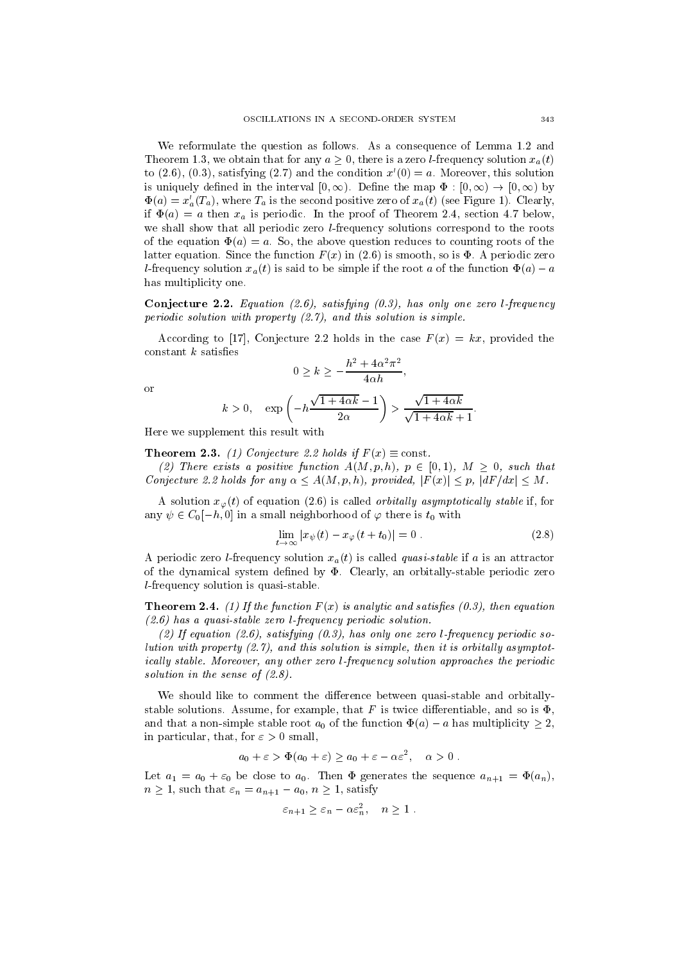We reformulate the question as follows. As a consequence of Lemma 1.2 and Theorem 1.3, we obtain that for any  $a > 0$ , there is a zero *l*-frequency solution  $x_a(t)$ to (2.6), (0.3), satisfying (2.7) and the condition  $x'(0) = a$ . Moreover, this solution is uniquely defined in the interval  $[0, \infty)$ . Define the map  $\Phi : [0, \infty) \to [0, \infty)$  by  $\Phi(a) = x_a'(T_a)$ , where  $T_a$  is the second positive zero of  $x_a(t)$  (see Figure 1). Clearly, if  $\Phi(a) = a$  then  $x_a$  is periodic. In the proof of Theorem 2.4, section 4.7 below, we shall show that all periodic zero *l*-frequency solutions correspond to the roots of the equation  $\Phi(a) = a$ . So, the above question reduces to counting roots of the latter equation. Since the function  $F(x)$  in (2.6) is smooth, so is  $\Phi$ . A periodic zero l-frequency solution  $x_a(t)$  is said to be simple if the root a of the function  $\Phi(a) - a$ has multiplicity one.

**Conjecture 2.2.** Equation (2.6), satisfying  $(0.3)$ , has only one zero l-frequency periodic solution with property (2.7), and this solution is simple.

According to [17], Conjecture 2.2 holds in the case  $F(x) = kx$ , provided the<br>
stant k satisfies<br>  $0 > k > -\frac{h^2 + 4\alpha^2 \pi^2}{h^2}$ .  $constant$  k satisfies

$$
0 \ge k \ge -\frac{h^2 + 4\alpha^2 \pi^2}{4\alpha h},
$$

$$
k > 0, \quad \exp\left(-h\frac{\sqrt{1+4\alpha k}-1}{2\alpha}\right) > \frac{\sqrt{1+4\alpha k}}{\sqrt{1+4\alpha k}+1}.
$$

Here we supplement this result with

**Theorem 2.3.** (1) Conjecture 2.2 holds if  $F(x) \equiv$  const.

(2) Inere exists a positive function  $A(M, p, n)$ ,  $p \in [0, 1)$ ,  $M > 0$ , such that Conjecture 2.2 holds for any  $\alpha < A(M, p, h)$ , provided,  $|F(x)| < p$ ,  $|dF/dx| < M$ .  $\begin{array}{l} \textit{Area 2.2 holds if } F(x) \equiv \textit{const.} \\ \textit{a function } A(M,p,h), \ p \in [0,1), \ M \geq 0, \ \textit{such that} \\ \alpha < A(M,p,h), \ \textit{provided}, \ |F(x)| < p, \ |dF/dx| < M. \end{array}$ 

A solution  $x_{\varphi}(t)$  of equation (2.6) is called *orbitally asymptotically stable* if, for any  $\psi \in C_0[-h, 0]$  in a small neighborhood of  $\varphi$  there is  $t_0$  with

$$
\lim_{t \to \infty} |x_{\psi}(t) - x_{\varphi}(t + t_0)| = 0.
$$
\n(2.8)

A periodic zero *l*-frequency solution  $x_a(t)$  is called *quasi-stable* if a is an attractor of the dynamical system defined by  $\Phi$ . Clearly, an orbitally-stable periodic zero l-frequency solution is quasi-stable.

**Theorem 2.4.** (1) If the function  $F(x)$  is analytic and satisfies (0.3), then equation (2.6) has a quasi-stable zero l-frequency periodic solution.

 $(2)$  If equation (2.0), satisfamily (0.9), has only one zero l-frequency periodic solution with property  $(2.7)$ , and this solution is simple, then it is orbitally asymptot $i$ cally stable. Moreover, any other zero l-frequency solution approaches the periodic solution in the sense of  $(2.8)$ .

We should like to comment the difference between quasi-stable and orbitallystable solutions. Assume, for example, that F is twice differentiable, and so is  $\Phi$ , and that a non-simple stable root  $a_0$  of the function  $\Phi(a) - a$  has multiplicity  $\geq 2$ , in particular, that, for  $\varepsilon > 0$  small,

$$
a_0 + \varepsilon > \Phi(a_0 + \varepsilon) \ge a_0 + \varepsilon - \alpha \varepsilon^2, \quad \alpha > 0.
$$

Let  $a_1 = a_0 + \varepsilon_0$  be close to  $a_0$ . Then  $\Phi$  generates the sequence  $a_{n+1} = \Phi(a_n)$ ,  $n \geq 1$ , such that  $\varepsilon_n = a_{n+1} - a_0, n \geq 1$ , satisfy

$$
\varepsilon_{n+1} \ge \varepsilon_n - \alpha \varepsilon_n^2, \quad n \ge 1.
$$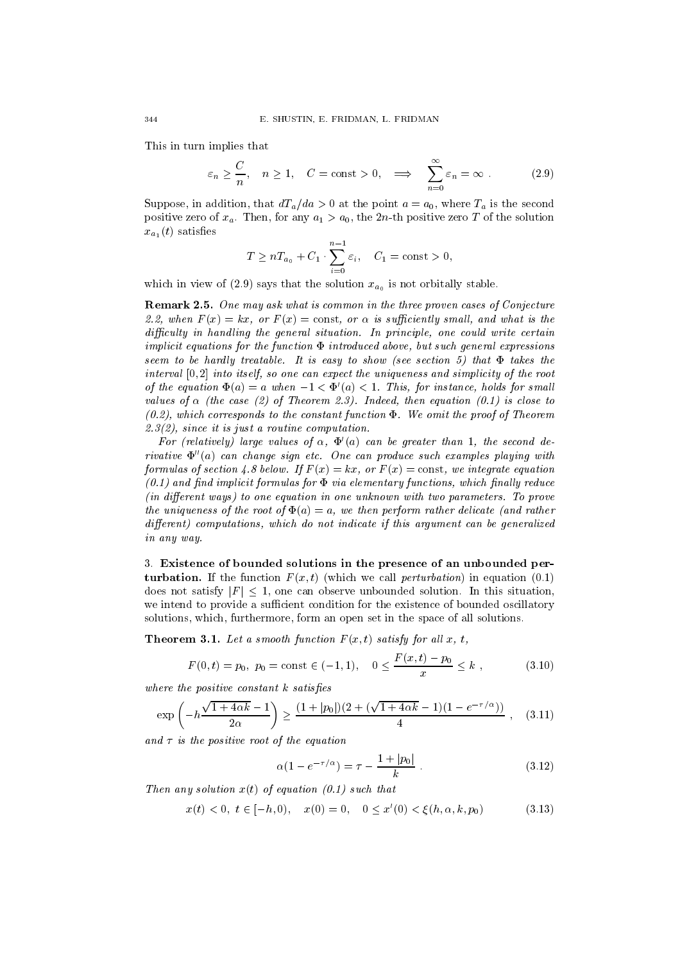This in turn implies that

$$
\varepsilon_n \ge \frac{C}{n}
$$
,  $n \ge 1$ ,  $C = \text{const} > 0$ ,  $\implies \sum_{n=0}^{\infty} \varepsilon_n = \infty$ . (2.9)

Suppose, in addition, that  $dT_a/da > 0$  at the point  $a = a_0$ , where  $T_a$  is the second positive zero of  $x_a$ . Then, for any  $a_1 > a_0$ , the 2n-th positive zero T of the solution  $x_{a_1}(t)$  satisfies

$$
T \geq nT_{a_0} + C_1 \cdot \sum_{i=0}^{n-1} \varepsilon_i, \quad C_1 = \text{const} > 0,
$$

which in view of (2.9) says that the solution  $x_{a_0}$  is not orbitally stable.

Remark 2.5. One may ask what is common in the three proven cases of Conjecture  $\mathcal{Z} \mathcal{Z}$ , when  $\Gamma(x) = \kappa x$ , or  $\Gamma(x) = \text{const}$ , or  $\alpha$  is sufficiently small, and what is the aifficatly in handing the general situation. In principle, one could write certain  $i$ mplicit cyautions for the function  $\bm{x}$  the buaced above, but such general expressions seem to be hardly treatable. It is easy to show (see section 5) that  $\bm{x}$  takes the section  $\bm{y}$ interval  $[0, 2]$  into itself, so one can expect the uniqueness and simplicity of the root of the equation  $\mathbf{\Psi}(a) = a$  when  $-1 \leq \mathbf{\Psi}(a) \leq 1$ . This, for instance, holds for small values of  $\alpha$  (the case  $(z)$  of Theorem  $z,$   $j$ ). Indeed, then equation (0.1) is close to (1),  $\omega$ ), which corresponds to the constant function  $\Psi$  . We omit the proof of Theorem . The proof of  $\eta$ 2.3(2), since it is just a routine computation.

For (relatively) large values of  $\alpha$ ,  $\Psi$  (a) can be greater than 1, the second derivative 00(a) can change sign etc.One can produce such examples playing with formatas of section 4.0 below. If  $F(x) = \kappa x$ , or  $F(x) = \text{const}$ , we integrate equation  $(0.1)$  and modelling implicit formulas for  $\bm{x}$  via elementary functions, which mhang feature (in dierent ways) to one equation in one unknown with two parameters. To prove the uniqueness of the root of  $\mathbf{Y}(a) = a$ , we then perform rather delicate (and rather dierent) computations, which do not indicate if this argument can be generalized in any way.

3. Existence of bounded solutions in the presence of an unbounded perturbation. If the function  $F(x, t)$  (which we call *perturbation*) in equation (0.1) does not satisfy  $|F| \leq 1$ , one can observe unbounded solution. In this situation, we intend to provide a sufficient condition for the existence of bounded oscillatory solutions, which, furthermore, form an open set in the space of all solutions.

**Theorem 3.1.** Let a smooth function  $F(x, t)$  satisfy for all x, t,

$$
F(0,t) = p_0, \ p_0 = \text{const} \in (-1,1), \quad 0 \le \frac{F(x,t) - p_0}{x} \le k \tag{3.10}
$$

where the positive constant k satises

$$
\exp\left(-h\frac{\sqrt{1+4\alpha k}-1}{2\alpha}\right) \ge \frac{(1+|p_0|)(2+(\sqrt{1+4\alpha k}-1)(1-e^{-\tau/\alpha}))}{4}, \quad (3.11)
$$

and is the positive root of the equation

$$
\alpha(1 - e^{-\tau/\alpha}) = \tau - \frac{1 + |p_0|}{k} \,. \tag{3.12}
$$

 $I$ hen any solution  $x(t)$  of equation (0.1) such that

$$
x(t) < 0, \ t \in [-h, 0), \quad x(0) = 0, \quad 0 \le x'(0) < \xi(h, \alpha, k, p_0) \tag{3.13}
$$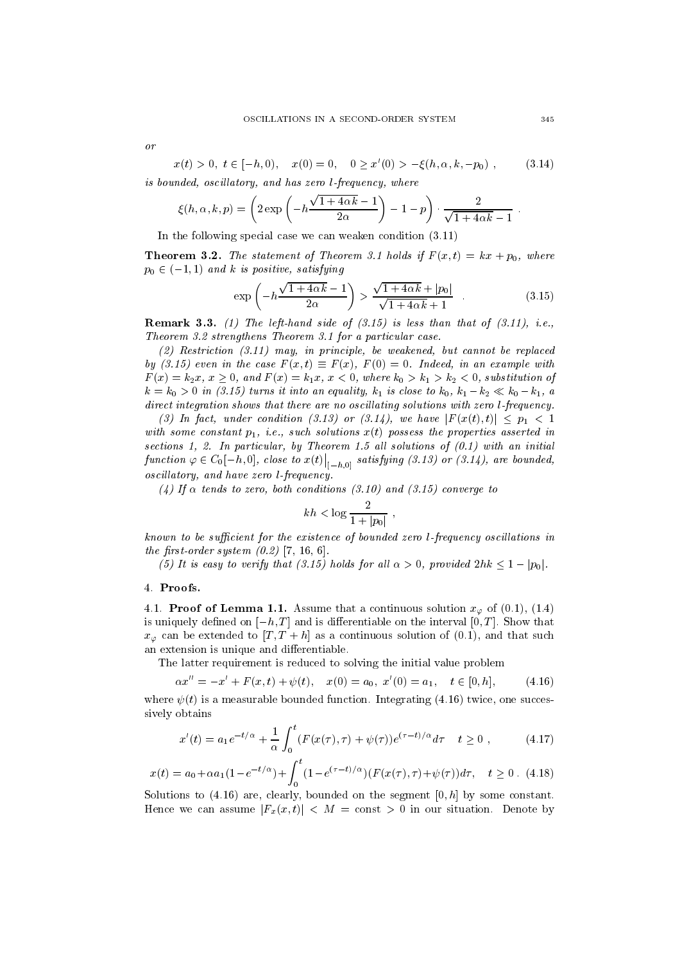or

$$
x(t) > 0, \ t \in [-h, 0), \quad x(0) = 0, \quad 0 \ge x'(0) > -\xi(h, \alpha, k, -p_0) \tag{3.14}
$$

is bounded, oscil latory, and has zero l-frequency, where

$$
\xi(h, \alpha, k, p) = \left(2 \exp \left(-h \frac{\sqrt{1+4\alpha k}-1}{2\alpha}\right) - 1 - p\right) \cdot \frac{2}{\sqrt{1+4\alpha k}-1}.
$$

In the following special case we can weaken condition (3.11)

**Theorem 3.2.** The statement of Theorem 3.1 holds if  $F(x,t) = kx + p_0$ , where  $p_0 \in (-1, 1)$  and k is positive, satisfying

$$
\exp\left(-h\frac{\sqrt{1+4\alpha k}-1}{2\alpha}\right) > \frac{\sqrt{1+4\alpha k}+|p_0|}{\sqrt{1+4\alpha k}+1} \quad . \tag{3.15}
$$

**Remark 3.3.** (1) The left-hand side of  $(3.15)$  is less than that of  $(3.11)$ , i.e., Theorem 3.2 strengthens Theorem 3.1 for a particular case.

(2) Restriction (3.11) may, in principle, be weakened, but cannot be replaced by (3.15) even in the case  $F(x, t) = F(x)$ ,  $F(0) = 0$ . Indeed, in an example with  $F(x) = k_2x, x \ge 0$ , and  $F(x) = k_1x, x < 0$ , where  $k_0 > k_1 > k_2 < 0$ , substitution of  $k = k_0 > 0$  in (3.15) turns it into an equality,  $k_1$  is close to  $k_0$ ,  $k_1 - k_2 \ll k_0 - k_1$ , a direct integration shows that there are no oscil lating solutions with zero l-frequency.

(3) In fact, under condition (3.13) or (3.14), we have  $|r(x(t),t)| \leq p_1 < 1$ with some constant  $p_1$ , i.e., such solutions  $x$  (i)  $p$  solutions the properties asserted in  $s$ cctions 1,  $\omega$ . In particular, by Theorem 1.5 an solutions of (0.1) with an initial function  $\varphi \in C_0[-h,0],$  close to  $x(t)\big|_{[-h,0]}$  satisfying (3.13) or (3.14), are bounded, oscil latory, and have zero l-frequency.

 $(4)$  If  $\alpha$  tends to zero, both conditions (3.10) and (3.15) converge to  $\alpha$ 

$$
kh < \log \frac{2}{1 + |p_0|} \;,
$$

known to be sufficient for the existence of bounded zero l-frequency oscillations in<br>the first-order system  $(0.2)$  [7, 16, 6].<br>(5) It is easy to verify that  $(3.15)$  holds for all  $\alpha > 0$ , provided  $2hk < 1 - |p_0|$ .  $\mu$  is the corder system (0.2) [1, 10, 6].

(5) It is easy to verify that (3.15) holds for all  $\alpha > 0$ , provided  $2hk < 1 - |p_0|$ .

### 4. Proofs.

4.1. **Proof of Lemma 1.1.** Assume that a continuous solution  $x_{\varphi}$  of (0.1), (1.4) is uniquely defined on  $[-h, T]$  and is differentiable on the interval  $[0, T]$ . Show that  $x_{\varphi}$  can be extended to  $[T, T + h]$  as a continuous solution of (0.1), and that such an extension is unique and differentiable.

The latter requirement is reduced to solving the initial value problem

$$
\alpha x'' = -x' + F(x, t) + \psi(t), \quad x(0) = a_0, \ x'(0) = a_1, \quad t \in [0, h], \tag{4.16}
$$

where  $\psi(t)$  is a measurable bounded function. Integrating (4.16) twice, one successively obtains

$$
x'(t) = a_1 e^{-t/\alpha} + \frac{1}{\alpha} \int_0^t (F(x(\tau), \tau) + \psi(\tau)) e^{(\tau - t)/\alpha} d\tau \quad t \ge 0 , \qquad (4.17)
$$

$$
x(t) = a_0 + \alpha a_1 (1 - e^{-t/\alpha}) + \int_0^t (1 - e^{(\tau - t)/\alpha}) (F(x(\tau), \tau) + \psi(\tau)) d\tau, \quad t \ge 0. \tag{4.18}
$$

Solutions to  $(4.16)$  are, clearly, bounded on the segment  $[0,h]$  by some constant. Hence we can assume  $|F_x(x,t)| < M = \text{const} > 0$  in our situation. Denote by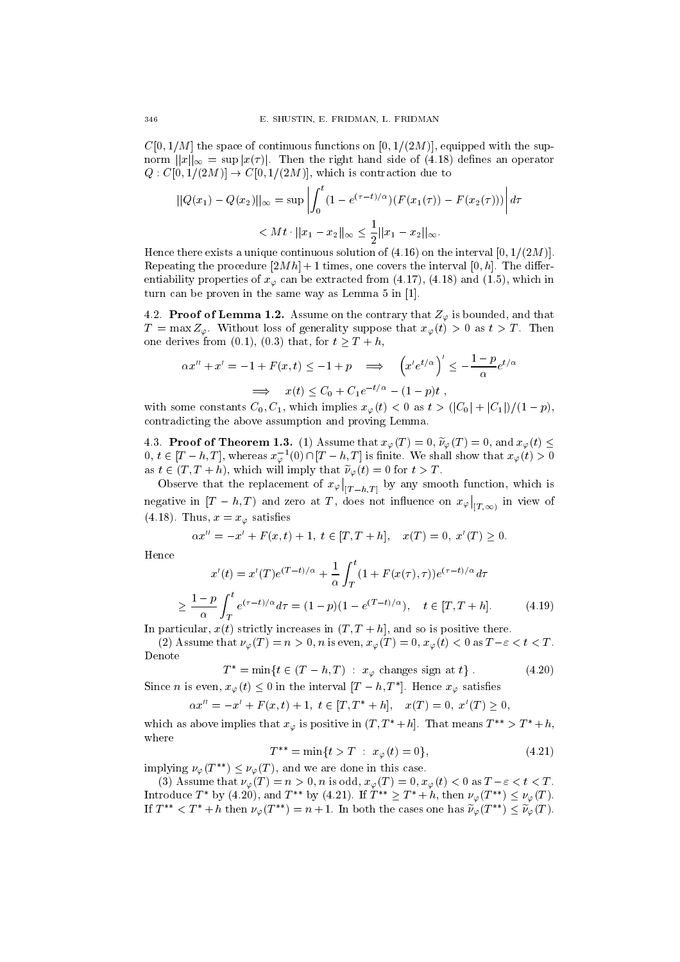$C[0, 1/M]$  the space of continuous functions on  $[0, 1/(2M)]$ , equipped with the supnorm  $||x||_{\infty} = \sup |x(\tau)|$ . Then the right hand side of (4.18) defines an operator  $Q: C[0, 1/(2M)] \rightarrow C[0, 1/(2M)]$ , which is contraction due to

$$
||Q(x_1) - Q(x_2)||_{\infty} = \sup \left| \int_0^t (1 - e^{(\tau - t)/\alpha})(F(x_1(\tau)) - F(x_2(\tau))) \right| d\tau
$$
  

$$
< Mt \cdot ||x_1 - x_2||_{\infty} \le \frac{1}{2} ||x_1 - x_2||_{\infty}.
$$

Hence there exists a unique continuous solution of  $(4.16)$  on the interval  $[0, 1/(2M)]$ . Repeating the procedure  $[2Mh] + 1$  times, one covers the interval  $[0, h]$ . The differentiability properties of  $x_{\varphi}$  can be extracted from (4.17), (4.18) and (1.5), which in turn can be proven in the same way as Lemma 5 in [1].

4.2. **Proof of Lemma 1.2.** Assume on the contrary that  $Z_{\varphi}$  is bounded, and that  $T = \max Z_{\varphi}$ . Without loss of generality suppose that  $x_{\varphi}(t) > 0$  as  $t > T$ . Then one derives from (0.1), (0.3) that, for  $t \geq T + h$ ,<br>  $\alpha x'' + x' = -1 + F(x, t) < -1 + p \implies (x'e^{t/\alpha})' < -1$  $\frac{1-p_{\alpha t/\alpha}}{1-p_{\alpha t/\alpha}}$ 

$$
\alpha x'' + x' = -1 + F(x, t) \le -1 + p \implies \left(x' e^{t/\alpha}\right)' \le -\frac{1-p}{\alpha} e^{t/\alpha}
$$

$$
\implies x(t) \le C_0 + C_1 e^{-t/\alpha} - (1-p)t,
$$

with some constants  $C_0, C_1$ , which implies  $x_{\varphi}(t) < 0$  as  $t > (|C_0| + |C_1|)/(1 - p)$ , contradicting the above assumption and proving Lemma.

4.3. **Proof of Theorem 1.3.** (1) Assume that  $x_{\varphi}(T) = 0$ ,  $\widetilde{\nu}_{\varphi}(T) = 0$ , and  $x_{\varphi}(t) \leq$  $0, t \in [T - n, T],$  whereas  $x_{\varphi}(0) \cap [T - n, T]$  is finite. We shall show that  $x_{\varphi}(t) > 0$ as  $t \in (T, T + h)$ , which will imply that  $\tilde{\nu}_{\varphi}(t) = 0$  for  $t > T$ .

Observe that the replacement of  $x_{\varphi}|_{[T-h,T]}$  by any smooth function, which is negative in  $[T-h,T)$  and zero at T, does not influence on  $x_{\varphi}\big|_{[T,\infty)}$  in view of (4.18). Thus,  $x = x_{\varphi}$  satisfies

$$
\alpha x'' = -x' + F(x, t) + 1, \ t \in [T, T + h], \quad x(T) = 0, \ x'(T) \ge 0.
$$

Hence

$$
x'(t) = x'(T)e^{(T-t)/\alpha} + \frac{1}{\alpha} \int_T^t (1 + F(x(\tau), \tau))e^{(\tau - t)/\alpha} d\tau
$$
  

$$
\geq \frac{1-p}{\alpha} \int_T^t e^{(\tau - t)/\alpha} d\tau = (1-p)(1 - e^{(T-t)/\alpha}), \quad t \in [T, T + h].
$$
 (4.19)

In particular,  $x(t)$  strictly increases in  $(T, T + h)$ , and so is positive there.

(2) Assume that  $\nu_\varphi(T) = n > 0$ , n is even,  $x_\varphi(T) = 0$ ,  $x_\varphi(t) < 0$  as  $T-\varepsilon < t < T$ . Denote

$$
T^* = \min\{t \in (T - h, T) : x_{\varphi} \text{ changes sign at } t\}.
$$
 (4.20)

Since *n* is even,  $x_{\varphi}(t) \leq 0$  in the interval  $[I - n, I]$ . Hence  $x_{\varphi}$  satisfies

$$
\alpha x'' = -x' + F(x, t) + 1, \ t \in [T, T^* + h], \quad x(T) = 0, \ x'(T) \ge 0,
$$

which as above implies that  $x_{\varphi}$  is positive in  $(T, T^* + h]$ . That means  $T^{**} > T^* + h$ , where

$$
T^{**} = \min\{t > T : x_{\varphi}(t) = 0\},\tag{4.21}
$$

implying  $\nu_{\varphi}(T^{**}) \leq \nu_{\varphi}(T)$ , and we are done in this case.

(3) Assume that  $\nu_{\varphi}(T) = n > 0$ , n is odd,  $x_{\varphi}(T) = 0$ ,  $x_{\varphi}(t) < 0$  as  $T - \varepsilon < t < T$ . Introduce T by (4.20), and T by (4.21). If  $T \geq T + n$ , then  $\nu_{\varphi}(T) \leq \nu_{\varphi}(T)$ . If  $T^{**} < T^* + h$  then  $\nu_\varphi(T^{**}) = n + 1$ . In both the cases one has  $\widetilde{\nu}_\varphi(T^{**}) \leq \widetilde{\nu}_\varphi(T)$ .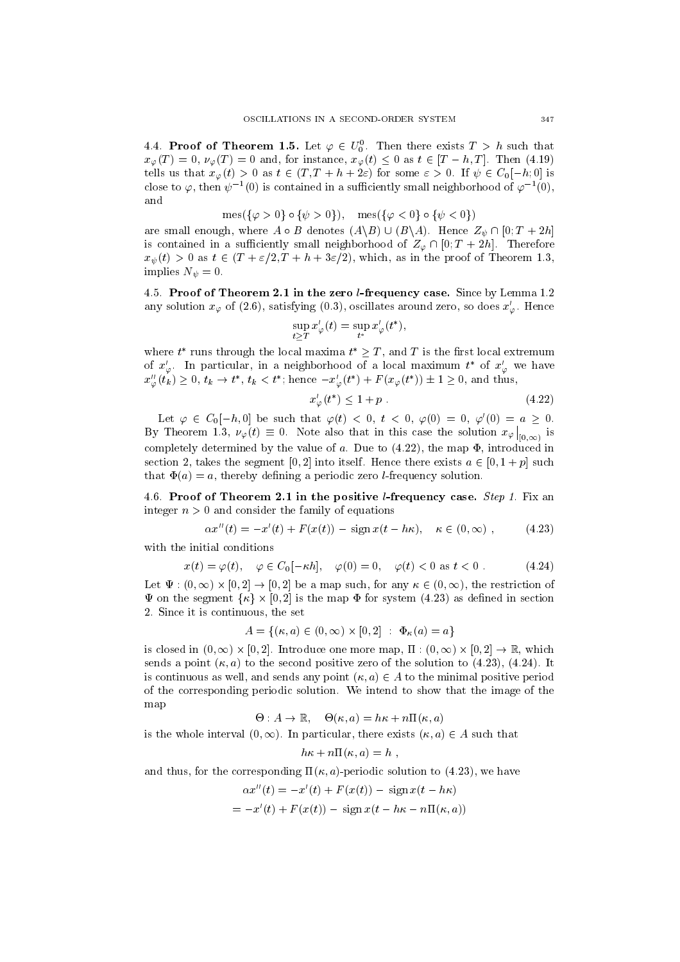4.4. Proof of Theorem 1.5. Let  $\varphi \in U_0^{\circ}$ . Then there exists  $I > n$  such that  $x_{\varphi}(T) = 0$ ,  $\nu_{\varphi}(T) = 0$  and, for instance,  $x_{\varphi}(t) \leq 0$  as  $t \in [T - h, T]$ . Then (4.19) tells us that  $x_{\varphi}(t) > 0$  as  $t \in (T, T + h + 2\varepsilon)$  for some  $\varepsilon > 0$ . If  $\psi \in C_0[-h, 0]$  is close to  $\varphi,$  then  $\psi^{-1}(0)$  is contained in a sumclently small neighborhood of  $\varphi^{-1}(0),$ and

$$
mes({\varphi > 0} \circ {\psi > 0}), \quad mes({\varphi < 0} \circ {\psi < 0})
$$

are small enough, where  $A \circ B$  denotes  $(A \setminus B) \cup (B \setminus A)$ . Hence  $Z_{\psi} \cap [0; T + 2h]$ is contained in a sufficiently small neighborhood of  $Z_{\varphi} \cap [0; T + 2h]$ . Therefore  $x<sub>\psi</sub>(t) > 0$  as  $t \in (T + \varepsilon/2, T + h + 3\varepsilon/2)$ , which, as in the proof of Theorem 1.3, implies  $N_{\psi} = 0$ .

4.5. Proof of Theorem 2.1 in the zero l-frequency case. Since by Lemma 1.2 any solution  $x_{\varphi}$  of (2.6), satisfying (0.3), oscillates around zero, so does  $x'_{\varphi}$ . Hence

$$
\sup_{t\geq T}x'_\varphi(t)=\sup_{t^*}x'_\varphi(t^*),
$$

where  $t$  -runs through the local maxima  $t \geq 1$  , and T is the first local extremum of  $x'_\varphi$ . In particular, in a neighborhood of a local maximum  $t^*$  of  $x'_\varphi$  we have  $x_{\varphi}(t_k) \geq 0, t_k \to t$ ,  $t_k < t$ ; hence  $-x_{\varphi}(t) + F(x_{\varphi}(t)) \pm 1 \geq 0$ , and thus,

$$
x'_{\varphi}(t^*) \le 1 + p \tag{4.22}
$$

Let  $\varphi \in C_0[-h, 0]$  be such that  $\varphi(t) < 0, t < 0, \varphi(0) = 0, \varphi'(0) = a > 0$ . By Theorem 1.3,  $\nu_{\varphi}(t) \equiv 0$ . Note also that in this case the solution  $x_{\varphi}|_{[0,\infty)}$  is [0;1) completely determined by the value of  $a$ . Due to  $(4.22)$ , the map  $\Phi$ , introduced in section 2, takes the segment [0, 2] into itself. Hence there exists  $a \in [0, 1 + p]$  such that  $\Phi(a) = a$ , thereby defining a periodic zero *l*-frequency solution.

4.6. Proof of Theorem 2.1 in the positive *l*-frequency case. *Step 1*. Fix an integer  $n > 0$  and consider the family of equations

$$
\alpha x''(t) = -x'(t) + F(x(t)) - \text{sign}\,x(t - h\kappa), \quad \kappa \in (0, \infty), \quad (4.23)
$$

with the initial conditions

$$
x(t) = \varphi(t), \quad \varphi \in C_0[-\kappa h], \quad \varphi(0) = 0, \quad \varphi(t) < 0 \text{ as } t < 0. \tag{4.24}
$$

Let  $\Psi$  : (0,  $\infty$ )  $\times$   $\vert 0, z \vert \to \vert 0, z \vert$  be a map such, for any  $\kappa \in$  (0,  $\infty$ ), the restriction of  $x(t) = \varphi(t), \quad \varphi \in C_0[-\kappa n],$ <br>
Let  $\Psi : (0, \infty) \times [0, 2] \to [0, 2]$  be a map<br>  $\Psi$  on the segment  $\{\kappa\} \times [0, 2]$  is the n  $\Psi$  on the segment  $\{\kappa\} \times [0,2]$  is the map  $\Phi$  for system (4.23) as defined in section 2. Since it is continuous, the set

$$
A = \{ (\kappa, a) \in (0, \infty) \times [0, 2] : \Phi_{\kappa}(a) = a \}
$$

is closed in (0,  $\infty$ )  $\times$  [0,  $\angle$ ]. Introduce one more map, if : (0,  $\infty$ )  $\times$  [0,  $\angle$ ]  $\rightarrow$  K, which sends a point  $(\kappa, a)$  to the second positive zero of the solution to (4.23), (4.24). It is continuous as well, and sends any point  $(\kappa, a) \in A$  to the minimal positive period of the corresponding periodic solution. We intend to show that the image of the map

$$
\Theta: A \to \mathbb{R}, \quad \Theta(\kappa, a) = h\kappa + n\Pi(\kappa, a)
$$

is the whole interval  $(0, \infty)$ . In particular, there exists  $(\kappa, a) \in A$  such that

$$
h\kappa + n\Pi(\kappa, a) = h ,
$$

and thus, for the corresponding  $\Pi(\kappa, a)$ -periodic solution to (4.23), we have

$$
\alpha x''(t) = -x'(t) + F(x(t)) - \text{sign}\,x(t - h\kappa)
$$
  
=  $-x'(t) + F(x(t)) - \text{sign}\,x(t - h\kappa - n\Pi(\kappa, a))$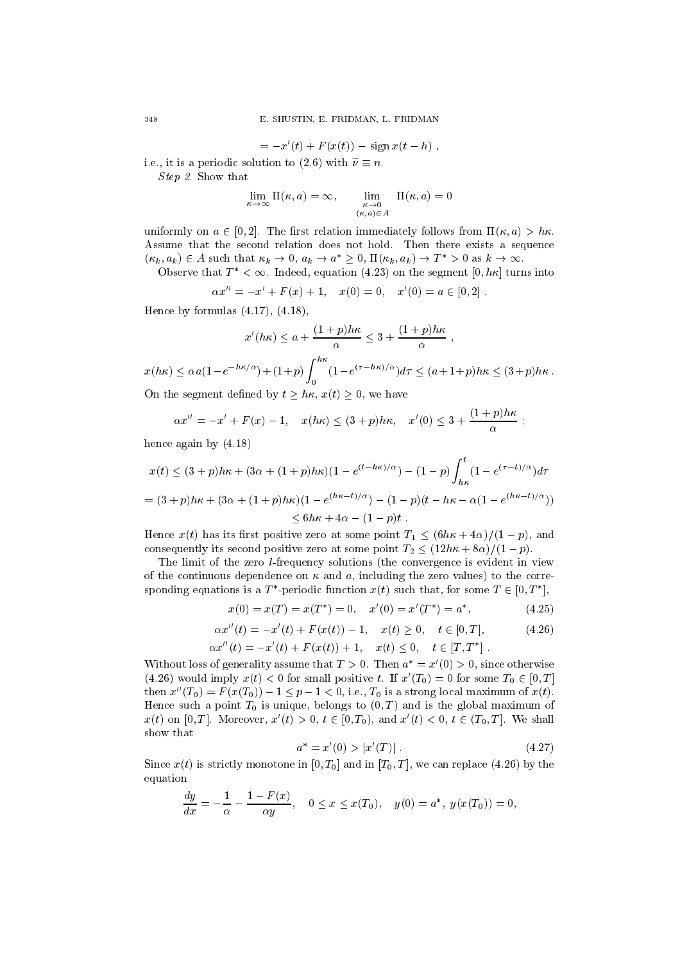$$
= -x'(t) + F(x(t)) - \text{sign}\,x(t-h) ,
$$

i.e., it is a periodic solution to (2.6) with  $\tilde{\nu} \equiv n$ .

Step 2. Show that

$$
\lim_{\kappa \to \infty} \Pi(\kappa, a) = \infty, \qquad \lim_{\substack{\kappa \to 0 \\ (\kappa, a) \in A}} \Pi(\kappa, a) = 0
$$

uniformly on  $a \in [0, 2]$ . The first relation immediately follows from  $\Pi(\kappa, a) > h\kappa$ . Assume that the second relation does not hold. Then there exists a sequence uniformly on  $a \in [0, 2]$ . The first relation immediately follows from  $\Pi(\kappa, a) > h\kappa$ .<br>Assume that the second relation does not hold. Then there exists a sequence  $(\kappa_k, a_k) \in A$  such that  $\kappa_k \to 0$ ,  $a_k \to a^* \ge 0$ ,  $\Pi(\kappa_k$ 

Observe that  $T^* < \infty$ . Indeed, equation (4.23) on the segment [0, h<sub>K</sub>] turns into

$$
\alpha x'' = -x' + F(x) + 1, \quad x(0) = 0, \quad x'(0) = a \in [0, 2].
$$

Hence by formulas (4.17), (4.18),

$$
x'(hk) \le a + \frac{(1+p)h\kappa}{\alpha} \le 3 + \frac{(1+p)h\kappa}{\alpha},
$$
  

$$
x(h\kappa) \le \alpha a (1 - e^{-h\kappa/\alpha}) + (1+p) \int_0^{h\kappa} (1 - e^{(\tau - h\kappa)/\alpha}) d\tau \le (a+1+p)h\kappa \le (3+p)h\kappa.
$$

On the segment defined by  $t \geq h\kappa$ ,  $x(t) \geq 0$ , we have

$$
\alpha x'' = -x' + F(x) - 1, \quad x(h\kappa) \le (3+p)h\kappa, \quad x'(0) \le 3 + \frac{(1+p)h\kappa}{\alpha} ;
$$

hence again by (4.18)

$$
x(t) \le (3+p)h\kappa + (3\alpha + (1+p)h\kappa)(1 - e^{(t-h\kappa)/\alpha}) - (1-p)\int_{h\kappa}^{t} (1 - e^{(\tau-t)/\alpha})d\tau
$$

$$
= (3+p)h\kappa + (3\alpha + (1+p)h\kappa)(1 - e^{(h\kappa - t)/\alpha}) - (1-p)(t - h\kappa - \alpha(1 - e^{(h\kappa - t)/\alpha}))
$$
  
< 6h\kappa + 4\alpha - (1-p)t.

Hence  $x(t)$  has its first positive zero at some point  $T_1 \leq (6h\kappa + 4\alpha)/(1 - p)$ , and consequently its second positive zero at some point  $T_2 \leq (12h\kappa + 8\alpha)/(1 - p)$ .

The limit of the zero l-frequency solutions (the convergence is evident in view of the continuous dependence on  $\kappa$  and  $\alpha$ , including the zero values) to the corresponding equations is a T-periodic function  $x(t)$  such that, for some  $T \in [0, T]$ ,

$$
x(0) = x(T) = x(T^*) = 0, \quad x'(0) = x'(T^*) = a^*, \tag{4.25}
$$

$$
\alpha x''(t) = -x'(t) + F(x(t)) - 1, \quad x(t) \ge 0, \quad t \in [0, T], \tag{4.26}
$$

$$
\alpha x''(t) = -x'(t) + F(x(t)) + 1, \quad x(t) \le 0, \quad t \in [T, T^*].
$$

Without loss of generality assume that  $T > 0$ . Then  $a^* = x'(0) > 0$ , since otherwise (4.26) would imply  $x(t) < 0$  for small positive t. If  $x'(T_0) = 0$  for some  $T_0 \in [0, T]$ then  $x''(T_0) = F(x(T_0)) - 1 \le p - 1 < 0$ , i.e.,  $T_0$  is a strong local maximum of  $x(t)$ . Hence such a point  $T_0$  is unique, belongs to  $(0, T)$  and is the global maximum of x(t) on [0, T]. Moreover,  $x'(t) > 0, t \in [0, T_0)$ , and  $x'(t) < 0, t \in (T_0, T]$ . We shall show that

$$
a^* = x'(0) > |x'(T)|.
$$
\n(4.27)

the contract of the contract of the contract of the contract of the contract of

Since  $x(t)$  is strictly monotone in [0, T<sub>0</sub>] and in [T<sub>0</sub>, T], we can replace (4.26) by the equation

$$
\frac{dy}{dx} = -\frac{1}{\alpha} - \frac{1 - F(x)}{\alpha y}, \quad 0 \le x \le x(T_0), \quad y(0) = a^*, \ y(x(T_0)) = 0,
$$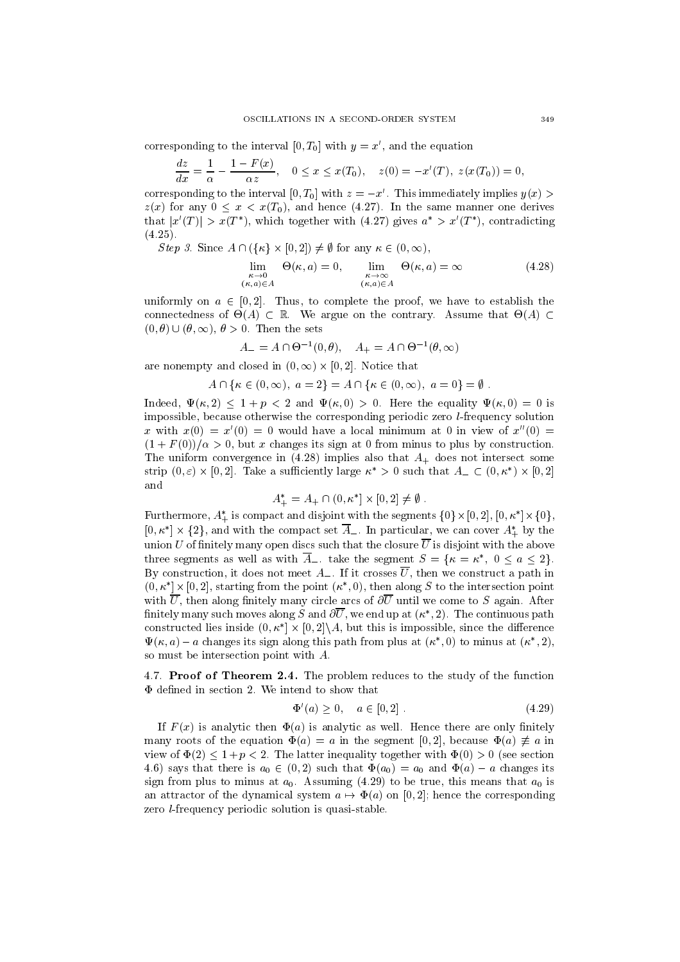corresponding to the interval [0,  $T_0$ ] with  $y = x'$ , and the equation

$$
\frac{dz}{dx} = \frac{1}{\alpha} - \frac{1 - F(x)}{\alpha z}, \quad 0 \le x \le x(T_0), \quad z(0) = -x'(T), \ z(x(T_0)) = 0,
$$

corresponding to the interval  $[0, T_0]$  with  $z = -x'$ . This immediately implies  $y(x) >$  $z(x)$  for any  $0 \le x \le x(T_0)$ , and hence (4.27). In the same manner one derives that  $|x(T)| > x(T)$ , which together with  $(4.27)$  gives  $a > x(T)$ , contradicting  $\lambda$  . The set of  $\lambda$ at  $|x'(T)| > x(T^*)$ , which together wit<br>25).<br>Step 3. Since  $A \cap (\{\kappa\} \times [0,2]) \neq \emptyset$  for

Step 3. Since  $A \cap (\{\kappa\} \times [0,2]) \neq \emptyset$  for any  $\kappa \in (0,\infty)$ ,

$$
\lim_{\substack{\kappa \to 0 \\ (\kappa, a) \in A}} \Theta(\kappa, a) = 0, \qquad \lim_{\substack{\kappa \to \infty \\ (\kappa, a) \in A}} \Theta(\kappa, a) = \infty \tag{4.28}
$$

uniformly on  $a \in [0, 2]$ . Thus, to complete the proof, we have to establish the connectedness of  $\Theta(A) \subset \mathbb{R}$ . We argue on the contrary. Assume that  $\Theta(A) \subset$  $(0, \theta) \cup (\theta, \infty), \theta > 0.$  Then the sets

$$
A_{-} = A \cap \Theta^{-1}(0, \theta), \quad A_{+} = A \cap \Theta^{-1}(\theta, \infty)
$$

are nonempty and closed in  $(0, \infty) \times [0, 2]$ . Notice that

y and closed in 
$$
(0, \infty) \times [0, 2]
$$
. Notice that  
\n $A \cap {\kappa \in (0, \infty), \ a = 2} = A \cap {\kappa \in (0, \infty), \ a = 0} = \emptyset$ .

Indeed,  $\Psi(\kappa, 2) < 1 + p < 2$  and  $\Psi(\kappa, 0) > 0$ . Here the equality  $\Psi(\kappa, 0) = 0$  is impossible, because otherwise the corresponding periodic zero l-frequency solution x with  $x(0) = x'(0) = 0$  would have a local minimum at 0 in view of  $x''(0) = 0$  $(1 + F(0))/\alpha > 0$ , but x changes its sign at 0 from minus to plus by construction. The uniform convergence in  $(4.28)$  implies also that  $A_{+}$  does not intersect some strip  $(0, \varepsilon) \times (0, 2)$ . Take a sumelently large  $\kappa \geq 0$  such that  $A_+ \subset (0, \kappa) \times (0, 2)$ and

$$
A_{+}^{*} = A_{+} \cap (0, \kappa^{*}] \times [0, 2] \neq \emptyset.
$$

Furthermore,  $A_+$  is compact and disjoint with the segments  $\{0\}\times[0,Z],\, [0,K_-]\times\{0\},$ Furthermore,  $A_{+}^{*}$  is compact and disjoint with the segments  $\{0\} \times [0, 2]$ ,  $[0, \kappa^*] \times \{0\}$ ,<br> $[0, \kappa^*] \times \{2\}$ , and with the compact set  $\overline{A}_{-}$ . In particular, we can cover  $A_{+}^{*}$  by the union U of finitely many open discs such that the closure  $\overline{U}$  is disjoint with the above three segments as well as with  $\overline{A}_-$ , take the segment  $S = \{\kappa = \kappa^*, 0 \leq a \leq 2\}.$ By construction, it does not meet  $A_{-}$ . If it crosses  $\overline{U}$ , then we construct a path in  $(0, \kappa \mid \times \mid 0, 2]$ , starting from the point  $(\kappa \mid 0)$ , then along S to the intersection point with  $\overline{U}$ , then along finitely many circle arcs of  $\partial \overline{U}$  until we come to S again. After nifiely many such moves along  $S$  and  $\partial U$ , we end up at  $(\kappa_-, z)$ . The continuous path constructed hes inside  $(0, \kappa + \times |0, 2|)A$ , but this is impossible, since the difference  $\Psi(\kappa, a) = a$  changes its sign along this path from plus at  $(\kappa_-, 0)$  to minus at  $(\kappa_-, 2)$ , so must be intersection point with A.

4.7. Proof of Theorem 2.4. The problem reduces to the study of the function  $\Phi$  defined in section 2. We intend to show that

$$
\Phi'(a) \ge 0, \quad a \in [0, 2] \tag{4.29}
$$

If  $F(x)$  is analytic then  $\Phi(a)$  is analytic as well. Hence there are only finitely many roots of the equation  $\Phi(a) = a$  in the segment [0, 2], because  $\Phi(a) \neq a$  in view of  $\Phi(2) \leq 1 + p < 2$ . The latter inequality together with  $\Phi(0) > 0$  (see section 4.6) says that there is  $a_0 \in (0, 2)$  such that  $\Phi(a_0) = a_0$  and  $\Phi(a) - a$  changes its sign from plus to minus at  $a_0$ . Assuming (4.29) to be true, this means that  $a_0$  is an attractor of the dynamical system  $a \mapsto \Phi(a)$  on [0, 2]; hence the corresponding zero l-frequency periodic solution is quasi-stable.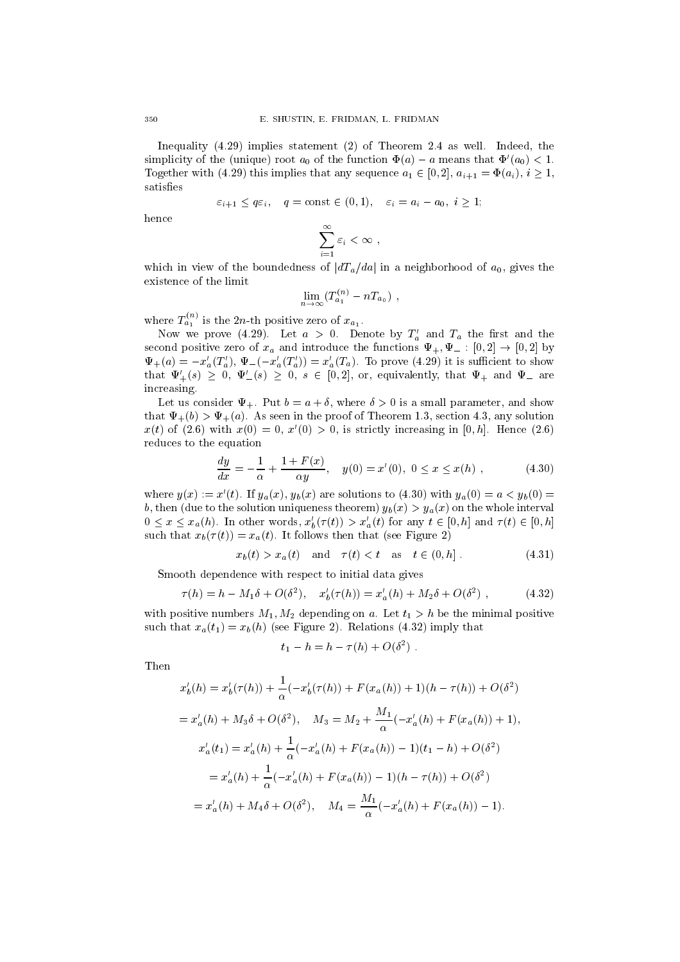Inequality (4.29) implies statement (2) of Theorem 2.4 as well. Indeed, the simplicity of the (unique) root  $a_0$  of the function  $\Phi(a) - a$  means that  $\Phi'(a_0) < 1$ . Together with (4.29) this implies that any sequence  $a_1 \in [0, 2]$ ,  $a_{i+1} = \Phi(a_i), i \ge 1$ , satisfies

$$
\varepsilon_{i+1} \le q\varepsilon_i, \quad q = \text{const} \in (0,1), \quad \varepsilon_i = a_i - a_0, \ i \ge 1;
$$

hence

$$
\sum_{i=1}^{\infty} \varepsilon_i < \infty \;,
$$

which in view of the boundedness of  $|dT_a/da|$  in a neighborhood of  $a_0$ , gives the existence of the limit

$$
\lim_{n\to\infty}(T_{a_1}^{(n)}-nT_{a_0})\ ,
$$

where  $T_{a_1}^{\cdots}$  is the 2n-th positive zero of  $x_{a_1}$ .

Now we prove (4.29). Let  $a > 0$ . Denote by  $T_a$  and  $T_a$  the first and the second positive zero of  $x_a$  and introduce the functions  $\Psi_+$ ,  $\Psi_-$  :  $[0, 2] \rightarrow [0, 2]$  by  $\Psi_{+}(a) = -x_{a}'(T_{a}')$ ,  $\Psi_{-}(-x_{a}'(T_{a})) = x_{a}'(T_{a})$ . To prove (4.29) it is sufficient to show that  $\Psi'_{+}(s) \geq 0$ ,  $\Psi'_{-}(s) \geq 0$ ,  $s \in [0,2]$ , or, equivalently, that  $\Psi_{+}$  and  $\Psi_{-}$  are increasing.

Let us consider  $\Psi_+$ . Put  $b = a + \delta$ , where  $\delta > 0$  is a small parameter, and show that  $\Psi_{+}(b) > \Psi_{+}(a)$ . As seen in the proof of Theorem 1.3, section 4.3, any solution  $x(t)$  of (2.6) with  $x(0) = 0$ ,  $x'(0) > 0$ , is strictly increasing in [0, h]. Hence (2.6) reduces to the equation

$$
\frac{dy}{dx} = -\frac{1}{\alpha} + \frac{1 + F(x)}{\alpha y}, \quad y(0) = x'(0), \ 0 \le x \le x(h) \;, \tag{4.30}
$$

where  $y(x) := x'(t)$ . If  $y_a(x)$ ,  $y_b(x)$  are solutions to (4.30) with  $y_a(0) = a < y_b(0)$ b, then (due to the solution uniqueness theorem)  $y_b(x) > y_a(x)$  on the whole interval  $0 \leq x \leq x_a(h)$ . In other words,  $x'_b(\tau(t)) > x'_a(t)$  for any  $t \in [0, h]$  and  $\tau(t) \in [0, h]$ such that  $x_b(\tau (t)) = x_a(t)$ . It follows then that (see Figure 2)

$$
x_b(t) > x_a(t)
$$
 and  $\tau(t) < t$  as  $t \in (0, h]$ . (4.31)

Smooth dependence with respect to initial data gives

$$
\tau(h) = h - M_1 \delta + O(\delta^2), \quad x'_b(\tau(h)) = x'_a(h) + M_2 \delta + O(\delta^2) , \tag{4.32}
$$

with positive numbers  $M_1, M_2$  depending on a. Let  $t_1 > h$  be the minimal positive such that  $x_a(t_1) = x_b(h)$  (see Figure 2). Relations (4.32) imply that

$$
t_1 - h = h - \tau(h) + O(\delta^2)
$$
.

Then

$$
x'_{b}(h) = x'_{b}(\tau(h)) + \frac{1}{\alpha}(-x'_{b}(\tau(h)) + F(x_{a}(h)) + 1)(h - \tau(h)) + O(\delta^{2})
$$
  
\n
$$
= x'_{a}(h) + M_{3}\delta + O(\delta^{2}), \quad M_{3} = M_{2} + \frac{M_{1}}{\alpha}(-x'_{a}(h) + F(x_{a}(h)) + 1),
$$
  
\n
$$
x'_{a}(t_{1}) = x'_{a}(h) + \frac{1}{\alpha}(-x'_{a}(h) + F(x_{a}(h)) - 1)(t_{1} - h) + O(\delta^{2})
$$
  
\n
$$
= x'_{a}(h) + \frac{1}{\alpha}(-x'_{a}(h) + F(x_{a}(h)) - 1)(h - \tau(h)) + O(\delta^{2})
$$
  
\n
$$
= x'_{a}(h) + M_{4}\delta + O(\delta^{2}), \quad M_{4} = \frac{M_{1}}{\alpha}(-x'_{a}(h) + F(x_{a}(h)) - 1).
$$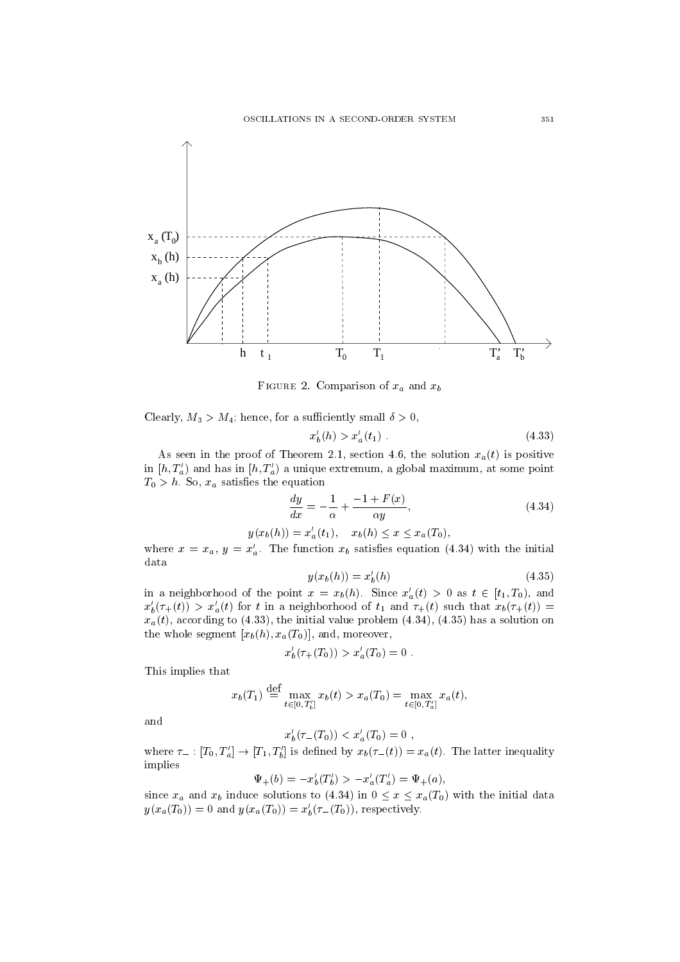

rigure 2. Comparison of  $x_a$  and  $x_b$ 

Clearly,  $M_3 > M_4$ ; hence, for a sufficiently small  $\delta > 0$ ,

$$
x'_b(h) > x'_a(t_1) \tag{4.33}
$$

As seen in the proof of Theorem 2.1, section 4.6, the solution  $x_a(t)$  is positive in  $[h, T_a]$  and has in  $[h, T_a]$  a unique extremum, a global maximum, at some point  $T_0 > h$ . So,  $x_a$  satisfies the equation

$$
\frac{dy}{dx} = -\frac{1}{\alpha} + \frac{-1 + F(x)}{\alpha y},\tag{4.34}
$$

$$
y(x_b(h)) = x'_a(t_1), \quad x_b(h) \le x \le x_a(T_0),
$$

where  $x = x_a$ ,  $y = x'_a$ . The function  $x_b$  satisfies equation (4.34) with the initial data

$$
y(x_b(h)) = x'_b(h)
$$
 (4.35)

in a neighborhood of the point  $x = x_b(h)$ . Since  $x'_a(t) > 0$  as  $t \in [t_1, T_0)$ , and  $x'_b(\tau_+(t)) > x'_a(t)$  for t in a neighborhood of  $t_1$  and  $\tau_+(t)$  such that  $x_b(\tau_+(t)) =$  $x_a(t)$ , according to (4.33), the initial value problem (4.34), (4.35) has a solution on the whole segment  $[x_b(h), x_a(T_0)]$ , and, moreover,

$$
x'_{b}(\tau_{+}(T_{0})) > x'_{a}(T_{0}) = 0.
$$

This implies that

$$
x_b(T_1) \stackrel{\text{def}}{=} \max_{t \in [0, T'_b]} x_b(t) > x_a(T_0) = \max_{t \in [0, T'_a]} x_a(t),
$$

and

$$
x'_b(\tau_-(T_0)) < x'_a(T_0) = 0 \;,
$$

where  $\tau_- : [I_0, I_a] \to [I_1, I_b]$  is defined by  $x_b(\tau_-(t)) = x_a(t)$ . The latter inequality implies

$$
\Psi_+(b) = -x'_b(T'_b) > -x'_a(T'_a) = \Psi_+(a),
$$

since  $x_a$  and  $x_b$  induce solutions to (4.34) in  $0 \le x \le x_a(T_0)$  with the initial data  $y(x_a(T_0)) = 0$  and  $y(x_a(T_0)) = x'_b(\tau_-(T_0))$ , respectively.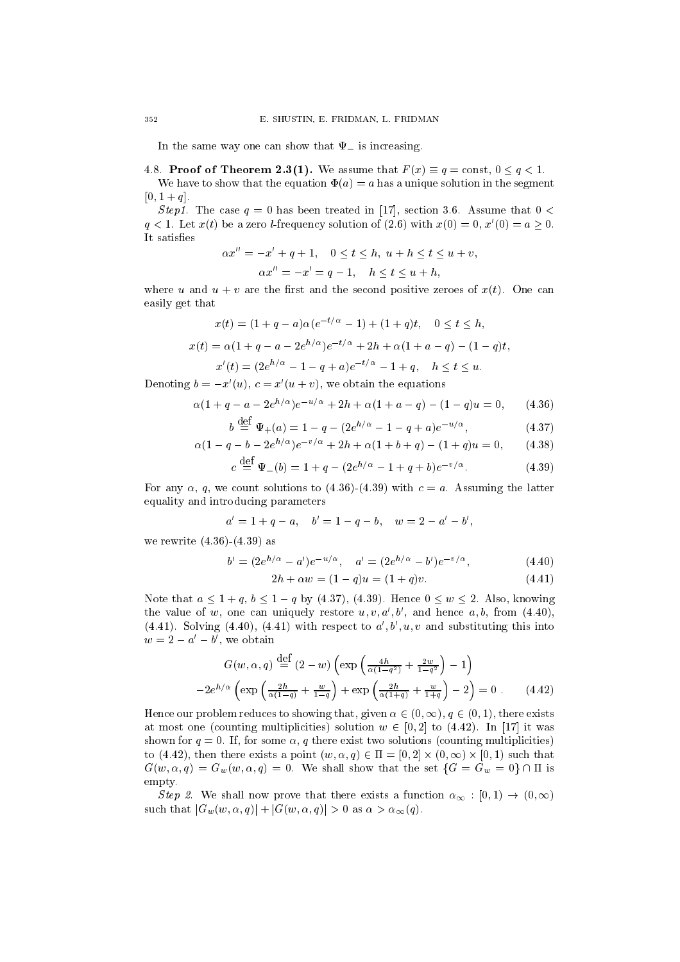In the same way one can show that  $\Psi_{-}$  is increasing.

4.8. Proof of Theorem 2.3(1). We assume that  $F(x) \equiv q = \text{const}, 0 \le q \le 1$ .

We have to show that the equation  $\Phi(a) = a$  has a unique solution in the segment  $[0, 1 + q]$ .

Step1. The case  $q = 0$  has been treated in [17], section 3.6. Assume that  $0 <$  $q < 1$ . Let  $x(t)$  be a zero *l*-frequency solution of (2.6) with  $x(0) = 0$ ,  $x'(0) = a > 0$ . It satisfies

$$
\alpha x'' = -x' + q + 1, \quad 0 \le t \le h, \ u + h \le t \le u + v,
$$
  

$$
\alpha x'' = -x' = q - 1, \quad h \le t \le u + h,
$$

where u and  $u + v$  are the first and the second positive zeroes of  $x(t)$ . One can easily get that

$$
x(t) = (1 + q - a)\alpha(e^{-t/\alpha} - 1) + (1 + q)t, \quad 0 \le t \le h,
$$
  
\n
$$
x(t) = \alpha(1 + q - a - 2e^{h/\alpha})e^{-t/\alpha} + 2h + \alpha(1 + a - q) - (1 - q)t,
$$
  
\n
$$
x'(t) = (2e^{h/\alpha} - 1 - q + a)e^{-t/\alpha} - 1 + q, \quad h \le t \le u.
$$

Denoting  $b = -x'(u), c = x'(u + v)$ , we obtain the equations

$$
\alpha(1+q-a-2e^{h/\alpha})e^{-u/\alpha} + 2h + \alpha(1+a-q) - (1-q)u = 0, \qquad (4.36)
$$

$$
b \stackrel{\text{def}}{=} \Psi_{+}(a) = 1 - q - (2e^{h/\alpha} - 1 - q + a)e^{-u/\alpha}, \tag{4.37}
$$

$$
\alpha(1 - q - b - 2e^{h/\alpha})e^{-v/\alpha} + 2h + \alpha(1 + b + q) - (1 + q)u = 0, \qquad (4.38)
$$

$$
c \stackrel{\text{def}}{=} \Psi_{-}(b) = 1 + q - (2e^{h/\alpha} - 1 + q + b)e^{-v/\alpha}.
$$
 (4.39)

For any  $\alpha$ , q, we count solutions to (4.36)-(4.39) with  $c = a$ . Assuming the latter equality and introducing parameters

$$
a' = 1 + q - a, \quad b' = 1 - q - b, \quad w = 2 - a' - b',
$$

we rewrite (4.36)-(4.39) as

$$
b' = (2e^{h/\alpha} - a')e^{-u/\alpha}, \quad a' = (2e^{h/\alpha} - b')e^{-v/\alpha}, \tag{4.40}
$$

$$
2h + \alpha w = (1 - q)u = (1 + q)v. \tag{4.41}
$$

Note that  $a \leq 1 + q$ ,  $b \leq 1 - q$  by (4.37), (4.39). Hence  $0 \leq w \leq 2$ . Also, knowing the value of w, one can uniquely restore  $u, v, a', b'$ , and hence  $a, b$ , from (4.40), (4.41). Solving (4.40), (4.41) with respect to  $a', b', u, v$  and substituting this into  $w = 2 - u - v$ , we obtain

$$
G(w, \alpha, q) \stackrel{\text{def}}{=} (2 - w) \left( \exp\left(\frac{4h}{\alpha(1-q^2)} + \frac{2w}{1-q^2}\right) - 1 \right)
$$

$$
-2e^{h/\alpha} \left( \exp\left(\frac{2h}{\alpha(1-q)} + \frac{w}{1-q}\right) + \exp\left(\frac{2h}{\alpha(1+q)} + \frac{w}{1+q}\right) - 2 \right) = 0 \tag{4.42}
$$

Hence our problem reduces to showing that, given  $\alpha \in (0, \infty), q \in (0, 1)$ , there exists at most one (counting multiplicities) solution  $w \in [0, 2]$  to (4.42). In [17] it was shown for  $q = 0$ . If, for some  $\alpha$ , q there exist two solutions (counting multiplicities) to (4.42), then there exists a point  $(w, \alpha, q) \in \Pi = [0, 2] \times (0, \infty) \times [0, 1)$  such that shown for  $q = 0$ . If, for some  $\alpha$ ,  $q$  there exist two solutions (counting multiplicities)<br>to (4.42), then there exists a point  $(w, \alpha, q) \in \Pi = [0, 2] \times (0, \infty) \times [0, 1)$  such that<br> $G(w, \alpha, q) = G_w(w, \alpha, q) = 0$ . We shall show that empty.

Step 2. We shall now prove that there exists a function  $\alpha_{\infty} : [0,1) \rightarrow (0,\infty)$ such that  $|G_w(w, \alpha, q)| + |G(w, \alpha, q)| > 0$  as  $\alpha > \alpha_\infty(q)$ .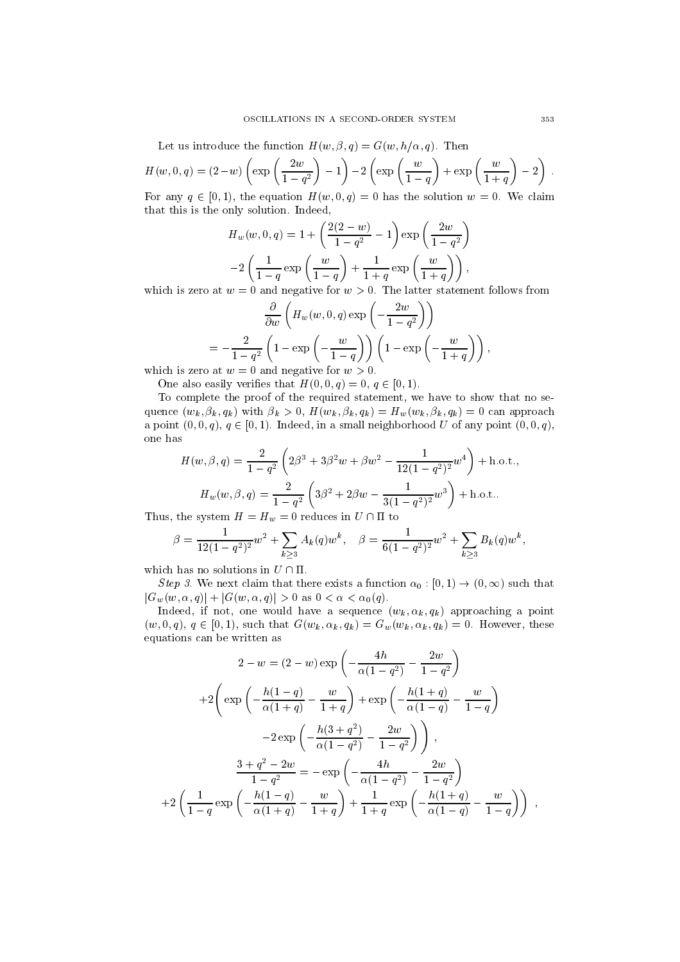Let us introduce the function  $H(w, \beta, q) = G(w, h/\alpha, q)$ . Then

$$
H(w,0,q) = (2-w)\left(\exp\left(\frac{2w}{1-q^2}\right) - 1\right) - 2\left(\exp\left(\frac{w}{1-q}\right) + \exp\left(\frac{w}{1+q}\right) - 2\right).
$$
  
For any  $a \in [0, 1)$ , the equation  $H(w, 0, a) = 0$  has the solution  $w = 0$ . We claim

For any  $q \in [0, 1)$ , the equation  $H(w, 0, q) = 0$  has the solution  $w = 0$ . We claim that this is the only solution. Indeed,

$$
H_w(w, 0, q) = 1 + \left(\frac{2(2-w)}{1-q^2} - 1\right) \exp\left(\frac{2w}{1-q^2}\right)
$$

$$
-2\left(\frac{1}{1-q}\exp\left(\frac{w}{1-q}\right) + \frac{1}{1+q}\exp\left(\frac{w}{1+q}\right)\right),
$$
  
and negative for  $w > 0$ . The latter statement follows for

which is zero at  $w = 0$  and negative for  $w > 0$ . The latter statement follows from

$$
\frac{\partial}{\partial w} \left( H_w(w, 0, q) \exp\left( -\frac{2w}{1-q^2} \right) \right)
$$
  
= 
$$
-\frac{2}{1-q^2} \left( 1 - \exp\left( -\frac{w}{1-q} \right) \right) \left( 1 - \exp\left( -\frac{w}{1+q} \right) \right),
$$
  
and negative for  $w > 0$ 

which is zero at  $w = 0$  and negative for  $w > 0$ .

One also easily verifies that  $H(0,0,q) = 0, q \in [0,1)$ .

To complete the proof of the required statement, we have to show that no sequence  $(w_k, \beta_k, q_k)$  with  $\beta_k > 0$ ,  $H(w_k, \beta_k, q_k) = H_w(w_k, \beta_k, q_k) = 0$  can approach a point  $(0, 0, q), q \in [0, 1)$ . Indeed, in a small neighborhood U of any point  $(0, 0, q)$ , one has

$$
H(w, \beta, q) = \frac{2}{1 - q^2} \left( 2\beta^3 + 3\beta^2 w + \beta w^2 - \frac{1}{12(1 - q^2)^2} w^4 \right) + \text{h.o.t.,}
$$

$$
H_w(w, \beta, q) = \frac{2}{1 - q^2} \left( 3\beta^2 + 2\beta w - \frac{1}{3(1 - q^2)^2} w^3 \right) + \text{h.o.t..}
$$

Thus, the system  $H = H_w = 0$  reduces in  $U \cap \Pi$  to

$$
\beta = \frac{1}{12(1-q^2)^2} w^2 + \sum_{k \ge 3} A_k(q) w^k, \quad \beta = \frac{1}{6(1-q^2)^2} w^2 + \sum_{k \ge 3} B_k(q) w^k,
$$

which has no solutions in  $U \cap \Pi$ .

Step 3. We next claim that there exists a function  $\alpha_0 : [0,1) \to (0,\infty)$  such that  $|G_w(w, \alpha, q)| + |G(w, \alpha, q)| > 0$  as  $0 < \alpha < \alpha_0(q)$ .

Indeed, if not, one would have a sequence  $(w_k, \alpha_k, q_k)$  approaching a point  $(w, 0, q), q \in [0, 1),$  such that  $G(w_k, \alpha_k, q_k) = G_w(w_k, \alpha_k, q_k) = 0.$  However, these equations can be written as

$$
2 - w = (2 - w) \exp\left(-\frac{4h}{\alpha(1 - q^2)} - \frac{2w}{1 - q^2}\right)
$$
  
+2\left(\exp\left(-\frac{h(1 - q)}{\alpha(1 + q)} - \frac{w}{1 + q}\right) + \exp\left(-\frac{h(1 + q)}{\alpha(1 - q)} - \frac{w}{1 - q}\right)\right)  
-2\exp\left(-\frac{h(3 + q^2)}{\alpha(1 - q^2)} - \frac{2w}{1 - q^2}\right),  

$$
\frac{3 + q^2 - 2w}{1 - q^2} = -\exp\left(-\frac{4h}{\alpha(1 - q^2)} - \frac{2w}{1 - q^2}\right)
$$
  
+2\left(\frac{1}{1 - q}\exp\left(-\frac{h(1 - q)}{\alpha(1 + q)} - \frac{w}{1 + q}\right) + \frac{1}{1 + q}\exp\left(-\frac{h(1 + q)}{\alpha(1 - q)} - \frac{w}{1 - q}\right)\right),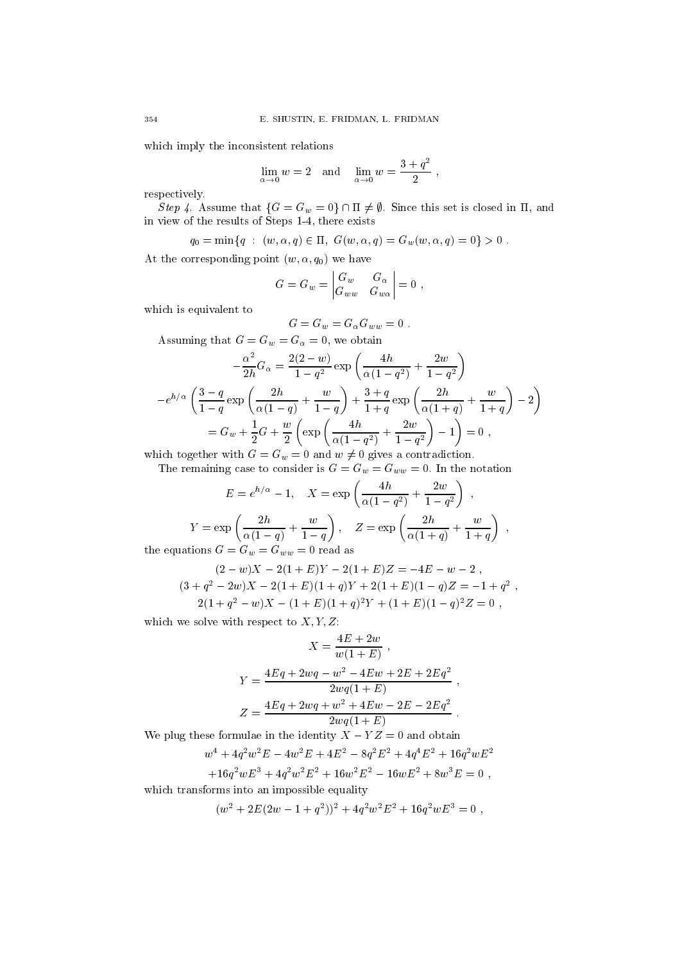which imply the inconsistent relations

$$
\lim_{\alpha \to 0} w = 2 \quad \text{and} \quad \lim_{\alpha \to 0} w = \frac{3 + q^2}{2} \;,
$$

respectively.

Step 4. Assume that  $\{G = G_w = 0\} \cap \Pi \neq \emptyset$ . Since this set is closed in  $\Pi$ , and in view of the results of Steps 1-4, there exists

$$
q_0 = \min\{q : (w, \alpha, q) \in \Pi, G(w, \alpha, q) = G_w(w, \alpha, q) = 0\} > 0.
$$

At the corresponding point  $(w, \alpha, q_0)$  we have

$$
G=G_w=\begin{vmatrix} G_w & G_\alpha \\ G_{ww} & G_{w\alpha}\end{vmatrix}=0\;,
$$

which is equivalent to

$$
G = G_w = G_\alpha G_{ww} = 0.
$$

Assuming that  $G = G_w = G_\alpha = 0$ , we obtain

$$
-\frac{\alpha^2}{2h}G_{\alpha} = \frac{2(2-w)}{1-q^2} \exp\left(\frac{4h}{\alpha(1-q^2)} + \frac{2w}{1-q^2}\right)
$$

$$
-e^{h/\alpha} \left(\frac{3-q}{1-q} \exp\left(\frac{2h}{\alpha(1-q)} + \frac{w}{1-q}\right) + \frac{3+q}{1+q} \exp\left(\frac{2h}{\alpha(1+q)} + \frac{w}{1+q}\right) - 2\right)
$$

$$
= G_w + \frac{1}{2}G + \frac{w}{2} \left(\exp\left(\frac{4h}{\alpha(1-q^2)} + \frac{2w}{1-q^2}\right) - 1\right) = 0,
$$

which together with  $G = G_w = 0$  and  $w \neq 0$  gives a contradiction.

The remaining case to consider is  $G = G_w = G_{ww} = 0$ . In the notation

$$
E = e^{h/\alpha} - 1, \quad X = \exp\left(\frac{4h}{\alpha(1-q^2)} + \frac{2w}{1-q^2}\right) ,
$$

$$
Y = \exp\left(\frac{2h}{\alpha(1-q)} + \frac{w}{1-q}\right), \quad Z = \exp\left(\frac{2h}{\alpha(1+q)} + \frac{w}{1+q}\right) ,
$$
ations  $G = G_w = G_{ww} = 0$  read as

the equations  $G = G_w = G_{wu}$ 

$$
(2-w)X - 2(1+E)Y - 2(1+E)Z = -4E - w - 2,
$$
  
\n
$$
(3+q^{2}-2w)X - 2(1+E)(1+q)Y + 2(1+E)(1-q)Z = -1 + q^{2},
$$
  
\n
$$
2(1+q^{2}-w)X - (1+E)(1+q)^{2}Y + (1+E)(1-q)^{2}Z = 0,
$$

which we solve with respect to  $X, Y, Z$ :

$$
X = \frac{4E + 2w}{w(1 + E)},
$$
  
\n
$$
Y = \frac{4Eq + 2wq - w^{2} - 4Ew + 2E + 2Eq^{2}}{2wq(1 + E)},
$$
  
\n
$$
Z = \frac{4Eq + 2wq + w^{2} + 4Ew - 2E - 2Eq^{2}}{2wq(1 + E)}.
$$

We plug these formulae in the identity  $\Lambda - Y Z = 0$  and obtain

$$
w^{4} + 4q^{2}w^{2}E - 4w^{2}E + 4E^{2} - 8q^{2}E^{2} + 4q^{4}E^{2} + 16q^{2}wE^{2}
$$

$$
+ 16q^{2}wE^{3} + 4q^{2}w^{2}E^{2} + 16w^{2}E^{2} - 16wE^{2} + 8w^{3}E = 0,
$$

which transforms into an impossible equality

$$
(w2 + 2E(2w – 1 + q2))2 + 4q2w2E2 + 16q2wE3 = 0,
$$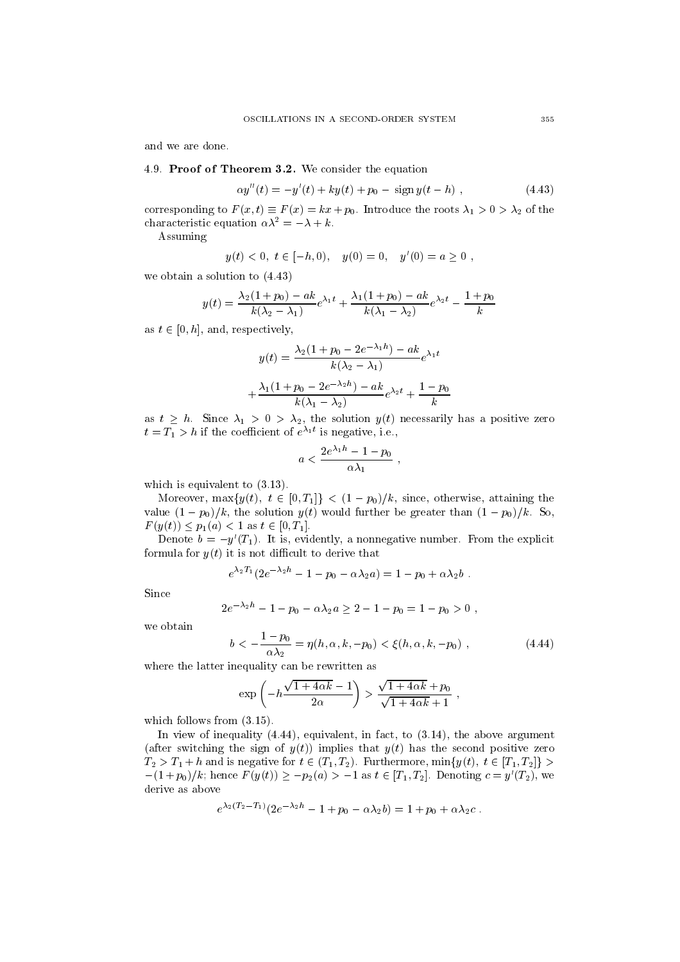and we are done.

# 4.9. Proof of Theorem 3.2. We consider the equation

$$
\alpha y''(t) = -y'(t) + ky(t) + p_0 - \text{sign } y(t - h) \tag{4.43}
$$

corresponding to  $F(x, t) \equiv F(x) = kx + p_0$ . Introduce the roots  $\lambda_1 > 0 > \lambda_2$  of the characteristic equation  $\alpha \lambda^2 = -\lambda + k$ .<br>Assuming

$$
y(t) < 0, t \in [-h, 0), y(0) = 0, y'(0) = a \ge 0,
$$

we obtain a solution to (4.43)

$$
y(t) = \frac{\lambda_2(1+p_0) - ak}{k(\lambda_2 - \lambda_1)}e^{\lambda_1 t} + \frac{\lambda_1(1+p_0) - ak}{k(\lambda_1 - \lambda_2)}e^{\lambda_2 t} - \frac{1+p_0}{k}
$$

as  $t \in [0, h]$ , and, respectively,

$$
y(t) = \frac{\lambda_2 (1 + p_0 - 2e^{-\lambda_1 h}) - ak}{k(\lambda_2 - \lambda_1)} e^{\lambda_1 t}
$$

$$
+ \frac{\lambda_1 (1 + p_0 - 2e^{-\lambda_2 h}) - ak}{k(\lambda_1 - \lambda_2)} e^{\lambda_2 t} + \frac{1 - p_0}{k}
$$

as  $t \geq h$ . Since  $\lambda_1 > 0 > \lambda_2$ , the solution  $y(t)$  necessarily has a positive zero  $t = T_1 > n$  if the coefficient of  $e^{i}$  is negative, i.e.,

$$
a<\frac{2e^{\lambda_1h}-1-p_0}{\alpha\lambda_1}\;,
$$

which is equivalent to  $(3.13)$ .

Moreover, max $\{y(t), t \in [0, T_1]\}$  <  $(1 - p_0)/k$ , since, otherwise, attaining the value  $(1 - p_0)/k$ , the solution  $y(t)$  would further be greater than  $(1 - p_0)/k$ . So,  $F(y(t)) \leq p_1(a) < 1$  as  $t \in [0, T_1]$ .

Denote  $b = -y'(T_1)$ . It is, evidently, a nonnegative number. From the explicit formula for  $y(t)$  it is not difficult to derive that

$$
e^{\lambda_2 T_1} (2e^{-\lambda_2 h}-1-p_0-\alpha \lambda_2 a)=1-p_0+\alpha \lambda_2 b.
$$

Since

$$
2e^{-\lambda_2 h} - 1 - p_0 - \alpha \lambda_2 a \ge 2 - 1 - p_0 = 1 - p_0 > 0,
$$

we obtain

$$
b < -\frac{1 - p_0}{\alpha \lambda_2} = \eta(h, \alpha, k, -p_0) < \xi(h, \alpha, k, -p_0) , \qquad (4.44)
$$

where the latter inequality can be rewritten as

$$
\exp\left(-h\frac{\sqrt{1+4\alpha k}-1}{2\alpha}\right) > \frac{\sqrt{1+4\alpha k}+p_0}{\sqrt{1+4\alpha k}+1},
$$

which follows from  $(3.15)$ .

In view of inequality  $(4.44)$ , equivalent, in fact, to  $(3.14)$ , the above argument (after switching the sign of  $\mathcal{A}$ ) is that y(t) has the second positive  $\mathcal{A}$  has the second positive zero positive zero positive zero positive  $\mathcal{A}$  $T_2 > T_1 + h$  and is negative for  $t \in (T_1, T_2)$ . Furthermore, min $\{y(t), t \in [T_1, T_2]\} >$ (after switching the sign of  $y(t)$ ) implies that  $y(t)$  has the second positive zero  $T_2 > T_1 + h$  and is negative for  $t \in (T_1, T_2)$ . Furthermore,  $\min\{y(t), t \in [T_1, T_2]\} > -(1+p_0)/k$ ; hence  $F(y(t)) \ge -p_2(a) > -1$  as  $t \in [T_1, T_2]$ . D  $-(1+p_0)/k$ ; hence  $F(y(t)) \geq -p_2(a) > -1$  as  $t \in [T_1, T_2]$ . Denoting  $c = y'(T_2)$ , we derive as above

$$
e^{\lambda_2(T_2-T_1)}(2e^{-\lambda_2h}-1+p_0-\alpha\lambda_2b)=1+p_0+\alpha\lambda_2c.
$$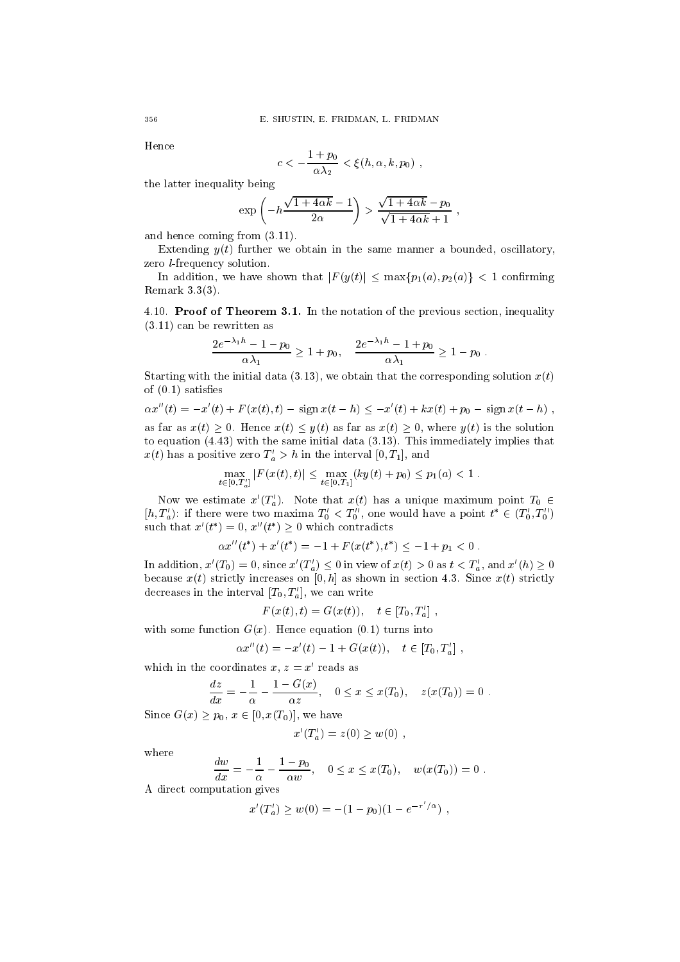Hence

$$
c<-\frac{1+p_0}{\alpha\lambda_2}<\xi(h,\alpha,k,p_0),
$$

the latter inequality being

$$
\exp\left(-h\frac{\sqrt{1+4\alpha k}-1}{2\alpha}\right) > \frac{\sqrt{1+4\alpha k}-p_0}{\sqrt{1+4\alpha k}+1},
$$

and hence coming from (3.11).

Extending  $y(t)$  further we obtain in the same manner a bounded, oscillatory, zero l-frequency solution.

In addition, we have shown that  $|F(y(t)| \leq \max\{p_1(a), p_2(a)\}$  < 1 confirming Remark 3.3(3).

4.10. Proof of Theorem 3.1. In the notation of the previous section, inequality (3.11) can be rewritten as

$$
\frac{2e^{-\lambda_1 h} - 1 - p_0}{\alpha \lambda_1} \ge 1 + p_0, \quad \frac{2e^{-\lambda_1 h} - 1 + p_0}{\alpha \lambda_1} \ge 1 - p_0.
$$

Starting with the initial data (3.13), we obtain that the corresponding solution  $x(t)$ <br>of (0.1) satisfies<br> $\alpha x''(t) = -x'(t) + F(x(t), t) - \text{sign } x(t - h) \leq -x'(t) + kx(t) + p_0 - \text{sign } x(t - h)$ , of  $(0.1)$  satisfies

$$
\alpha x''(t) = -x'(t) + F(x(t), t) - \operatorname{sign} x(t-h) \leq -x'(t) + kx(t) + p_0 - \operatorname{sign} x(t-h)
$$

as far as  $x(t) \geq 0$ . Hence  $x(t) \leq y(t)$  as far as  $x(t) \geq 0$ , where  $y(t)$  is the solution to equation (4.43) with the same initial data (3.13). This immediately implies that  $x(t)$  has a positive zero  $T_a > n$  in the interval [0,  $T_1$ ], and For the same initial data (5.13<br>tive zero  $T'_a > h$  in the interval  $[0, T'_a]$ <br> $\max_{t \in [0, T'_a]} |F(x(t), t)| \leq \max_{t \in [0, T_1]} (ky(t) +$ 

$$
\max_{t \in [0,T'_a]} |F(x(t),t)| \le \max_{t \in [0,T_1]} (ky(t) + p_0) \le p_1(a) < 1.
$$

Now we estimate  $x'(T'_a)$ . Note that  $x(t)$  has a unique maximum point  $T_0 \in$  $[n, T_a]$ : if there were two maxima  $T_0 < T_0$ , one would have a point  $t \in (T_0, T_0)$ <br>such that  $x'(t^*) = 0$ ,  $x''(t^*) \ge 0$  which contradicts<br> $\alpha x''(t^*) + x'(t^*) = -1 + F(x(t^*), t^*) \le -1 + p_1 < 0$ . such that  $x(t) = 0, x(t) \geq 0$  which contradicts

$$
\alpha x''(t^*) + x'(t^*) = -1 + F(x(t^*), t^*) \le -1 + p_1 < 0.
$$

In addition,  $x'(T_0) = 0$ , since  $x'(T'_a) \leq 0$  in view of  $x(t) > 0$  as  $t < T'_a$ , and  $x'(h) \geq 0$ because  $x(t)$  strictly increases on [0, h] as shown in section 4.3. Since  $x(t)$  strictly decreases in the interval  $[T_0, T_a']$ , we can write

$$
F(x(t),t) = G(x(t)), \quad t \in [T_0, T'_a],
$$

with some function  $G(x)$ . Hence equation (0.1) turns into

$$
\alpha x''(t) = -x'(t) - 1 + G(x(t)), \quad t \in [T_0, T_a'] ,
$$

which in the coordinates  $x, z = x'$  reads as

$$
\frac{dz}{dx} = -\frac{1}{\alpha} - \frac{1 - G(x)}{\alpha z}, \quad 0 \le x \le x(T_0), \quad z(x(T_0)) = 0.
$$

Since  $G(x) \geq p_0, x \in [0, x(T_0)],$  we have

$$
x'(T'_a) = z(0) \ge w(0) ,
$$

where

$$
\frac{dw}{dx} = -\frac{1}{\alpha} - \frac{1 - p_0}{\alpha w}, \quad 0 \le x \le x(T_0), \quad w(x(T_0)) = 0.
$$

A direct computation gives

$$
x'(T'_a) \ge w(0) = -(1 - p_0)(1 - e^{-\tau'/\alpha}),
$$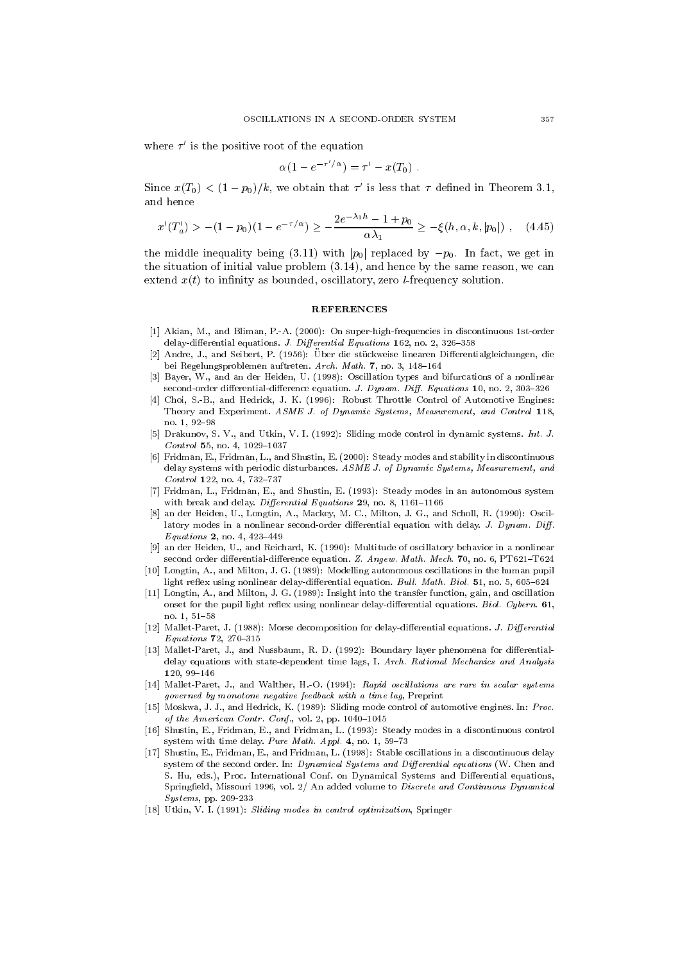where  $\tau$  is the positive root of the equation

$$
\alpha(1-e^{-\tau'/\alpha})=\tau'-x(T_0)\;.
$$

Since  $x(\tau_0) < (1-p_0)/\kappa$ , we obtain that  $\tau$  is less that  $\tau$  defined in Theorem 3.1, and hence

d hence  

$$
x'(T'_a) > -(1 - p_0)(1 - e^{-\tau/\alpha}) \ge -\frac{2e^{-\lambda_1 h} - 1 + p_0}{\alpha \lambda_1} \ge -\xi(h, \alpha, k, |p_0|) , \quad (4.45)
$$

the middle inequality being (3.11) with  $|p_0|$  replaced by  $-p_0$ . In fact, we get in the situation of initial value problem (3.14), and hence by the same reason, we can extend  $x(t)$  to infinity as bounded, oscillatory, zero *l*-frequency solution.

#### **REFERENCES**

- [1] Akian, M., and Bliman, P.-A. (2000): On super-high-frequencies in discontinuous 1st-order delay-differential equations. J. Differential Equations 162, no. 2, 326-358
- [2] Andre, J., and Seibert, P. (1956): Über die stückweise linearen Differentialgleichungen, die bei Regelungsproblemen auftreten. Arch. Math. 7, no. 3, 148-164
- [3] Bayer, W., and an der Heiden, U. (1998): Oscillation types and bifurcations of a nonlinear second-order differential-difference equation. J. Dynam. Diff. Equations 10, no. 2, 303-326
- [4] Choi, S.-B., and Hedrick, J. K. (1996): Robust Throttle Control of Automotive Engines: Theory and Experiment. ASME J. of Dynamic Systems, Measurement, and Control 118, no. 1, 92{98
- [5] Drakunov, S. V., and Utkin, V. I. (1992): Sliding mode control in dynamic systems. Int. J.  $Control$  55, no. 4, 1029-1037
- [6] Fridman, E., Fridman, L., and Shustin, E. (2000): Steady modes and stability in discontinuous delay systems with periodic disturbances. ASME J. of Dynamic Systems, Measurement, and  $Control$  122, no. 4, 732-737
- [7] Fridman, L., Fridman, E., and Shustin, E. (1993): Steady modes in an autonomous system with break and delay. Differential Equations  $29$ , no. 8, 1161-1166
- [8] an der Heiden, U., Longtin, A., Mackey, M. C., Milton, J. G., and Scholl, R. (1990): Oscillatory modes in a nonlinear second-order differential equation with delay. J. Dynam. Diff.  $$
- [9] an der Heiden, U., and Reichard, K. (1990): Multitude of oscillatory behavior in a nonlinear second order differential-difference equation. Z. Angew. Math. Mech. 70, no. 6, PT621-T624
- [10] Longtin, A., and Milton, J. G. (1989): Modelling autonomous oscillations in the human pupil light reflex using nonlinear delay-differential equation. Bull. Math. Biol. 51, no. 5, 605-624
- [11] Longtin, A., and Milton, J. G. (1989): Insight into the transfer function, gain, and oscillation onset for the pupil light reflex using nonlinear delay-differential equations. Biol. Cybern. 61, no. 1, 51{58
- [12] Mallet-Paret, J. (1988): Morse decomposition for delay-differential equations. J. Differential *Equations* 72, 270-315 Equations 72, 270{315
- [13] Mallet-Paret, J., and Nussbaum, R. D. (1992): Boundary layer phenomena for differentialdelay equations with state-dependent time lags, I. Arch. Rational Mechanics and Analysis  $120.99 - 146$ 120, 99{146
- [14] Mallet-Paret, J., and Walther, H.-O. (1994): Rapid oscillations are rare in scalar systems governed by monotone negative feedback with a time lag, Preprint
- [15] Moskwa, J. J., and Hedrick, K. (1989): Sliding mode control of automotive engines. In: Proc. of the American Contr. Conf., vol. 2, pp.  $1040-1045$
- [16] Shustin, E., Fridman, E., and Fridman, L. (1993): Steady modes in a discontinuous control system with time delay. Pure Math. Appl. 4, no. 1, 59-73
- [17] Shustin, E., Fridman, E., and Fridman, L. (1998): Stable oscillations in a discontinuous delay system of the second order. In: Dynamical Systems and Differential equations (W. Chen and S. Hu, eds.), Proc. International Conf. on Dynamical Systems and Differential equations, Springfield, Missouri 1996, vol. 2/ An added volume to Discrete and Continuous Dynamical Systems, pp. 209-233
- [18] Utkin, V. I. (1991): Sliding modes in control optimization, Springer